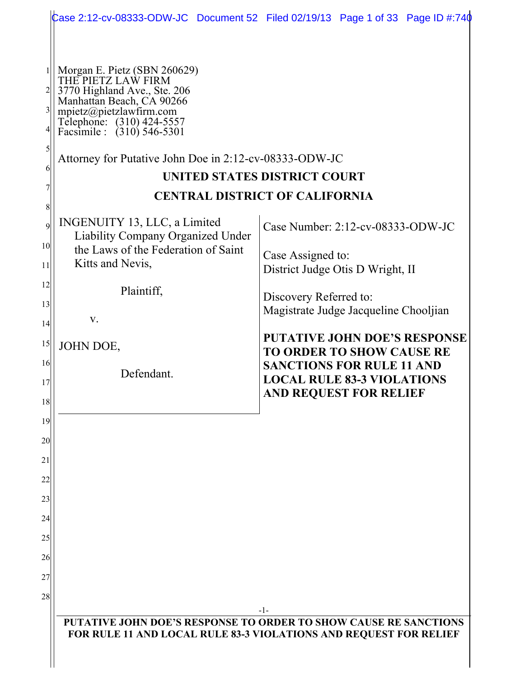|                                                                                                                      | Case 2:12-cv-08333-ODW-JC Document 52 Filed 02/19/13 Page 1 of 33 Page ID #:740                                                                             |
|----------------------------------------------------------------------------------------------------------------------|-------------------------------------------------------------------------------------------------------------------------------------------------------------|
| 3770 Highland Ave., Ste. 206<br>Manhattan Beach, CA 90266<br>Telephone: (310) 424-5557<br>Facsimile : (310) 546-5301 | UNITED STATES DISTRICT COURT<br><b>CENTRAL DISTRICT OF CALIFORNIA</b>                                                                                       |
| INGENUITY 13, LLC, a Limited<br><b>Liability Company Organized Under</b><br>the Laws of the Federation of Saint      | Case Number: 2:12-cv-08333-ODW-JC<br>Case Assigned to:                                                                                                      |
| Kitts and Nevis,<br>Plaintiff,                                                                                       | District Judge Otis D Wright, II<br>Discovery Referred to:<br>Magistrate Judge Jacqueline Chooljian                                                         |
| JOHN DOE,                                                                                                            | <b>PUTATIVE JOHN DOE'S RESPONSE</b><br><b>TO ORDER TO SHOW CAUSE RE</b><br><b>SANCTIONS FOR RULE 11 AND</b>                                                 |
|                                                                                                                      | <b>LOCAL RULE 83-3 VIOLATIONS</b><br><b>AND REQUEST FOR RELIEF</b>                                                                                          |
|                                                                                                                      |                                                                                                                                                             |
|                                                                                                                      |                                                                                                                                                             |
|                                                                                                                      |                                                                                                                                                             |
|                                                                                                                      | -1-<br>PUTATIVE JOHN DOE'S RESPONSE TO ORDER TO SHOW CAUSE RE SANCTIONS<br>FOR RULE 11 AND LOCAL RULE 83-3 VIOLATIONS AND REQUEST FOR RELIEF                |
|                                                                                                                      | Morgan E. Pietz (SBN 260629)<br>THE PIETZ LAW FIRM<br>mpietz@pietzlawfirm.com<br>Attorney for Putative John Doe in 2:12-cv-08333-ODW-JC<br>V.<br>Defendant. |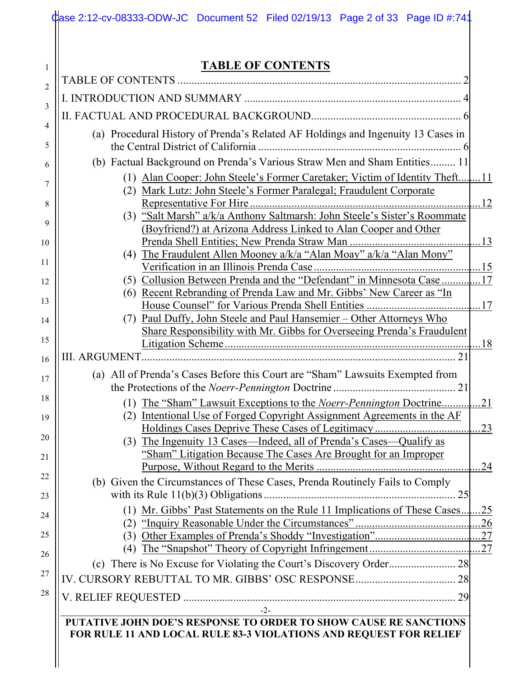| <b>TABLE OF CONTENTS</b>                                                                                                                       |
|------------------------------------------------------------------------------------------------------------------------------------------------|
|                                                                                                                                                |
|                                                                                                                                                |
|                                                                                                                                                |
| (a) Procedural History of Prenda's Related AF Holdings and Ingenuity 13 Cases in                                                               |
| (b) Factual Background on Prenda's Various Straw Men and Sham Entities 11                                                                      |
| (2) Mark Lutz: John Steele's Former Paralegal; Fraudulent Corporate                                                                            |
|                                                                                                                                                |
| (3) "Salt Marsh" a/k/a Anthony Saltmarsh: John Steele's Sister's Roommate<br>(Boyfriend?) at Arizona Address Linked to Alan Cooper and Other   |
| (4) The Fraudulent Allen Mooney a/k/a "Alan Moay" a/k/a "Alan Mony"                                                                            |
|                                                                                                                                                |
|                                                                                                                                                |
| (6) Recent Rebranding of Prenda Law and Mr. Gibbs' New Career as "In                                                                           |
|                                                                                                                                                |
| (7) Paul Duffy, John Steele and Paul Hansemier – Other Attorneys Who<br>Share Responsibility with Mr. Gibbs for Overseeing Prenda's Fraudulent |
|                                                                                                                                                |
|                                                                                                                                                |
| (a) All of Prenda's Cases Before this Court are "Sham" Lawsuits Exempted from                                                                  |
|                                                                                                                                                |
| Intentional Use of Forged Copyright Assignment Agreements in the AF<br>(2)                                                                     |
|                                                                                                                                                |
| (3) The Ingenuity 13 Cases—Indeed, all of Prenda's Cases—Qualify as<br>"Sham" Litigation Because The Cases Are Brought for an Improper         |
|                                                                                                                                                |
| (b) Given the Circumstances of These Cases, Prenda Routinely Fails to Comply                                                                   |
| (1) Mr. Gibbs' Past Statements on the Rule 11 Implications of These Cases 25                                                                   |
|                                                                                                                                                |
|                                                                                                                                                |
|                                                                                                                                                |
|                                                                                                                                                |
|                                                                                                                                                |
| $-2-$                                                                                                                                          |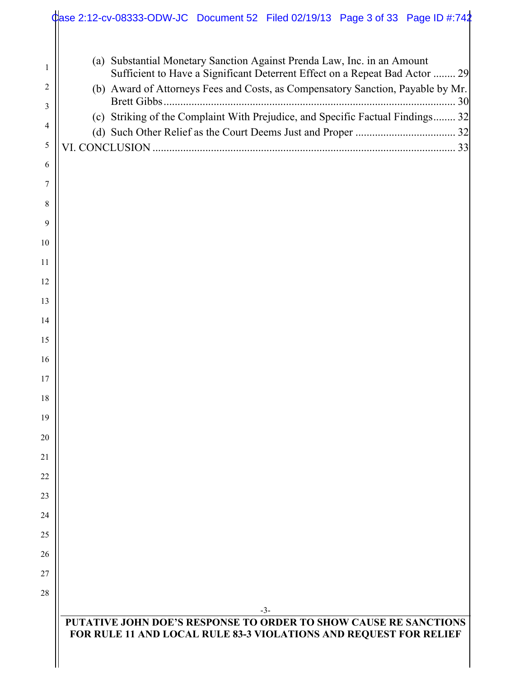|        | Case 2:12-cv-08333-ODW-JC Document 52 Filed 02/19/13 Page 3 of 33 Page ID #:742                                                                                                                                                           |
|--------|-------------------------------------------------------------------------------------------------------------------------------------------------------------------------------------------------------------------------------------------|
| 1<br>2 | (a) Substantial Monetary Sanction Against Prenda Law, Inc. in an Amount<br>Sufficient to Have a Significant Deterrent Effect on a Repeat Bad Actor  29<br>(b) Award of Attorneys Fees and Costs, as Compensatory Sanction, Payable by Mr. |
| 3      | (c) Striking of the Complaint With Prejudice, and Specific Factual Findings 32                                                                                                                                                            |
| 4      |                                                                                                                                                                                                                                           |
| 5      |                                                                                                                                                                                                                                           |
| 6      |                                                                                                                                                                                                                                           |
| 7      |                                                                                                                                                                                                                                           |
| 8      |                                                                                                                                                                                                                                           |
| 9      |                                                                                                                                                                                                                                           |
| 10     |                                                                                                                                                                                                                                           |
| 11     |                                                                                                                                                                                                                                           |
| 12     |                                                                                                                                                                                                                                           |
| 13     |                                                                                                                                                                                                                                           |
| 14     |                                                                                                                                                                                                                                           |
| 15     |                                                                                                                                                                                                                                           |
| 16     |                                                                                                                                                                                                                                           |
| 17     |                                                                                                                                                                                                                                           |
| 18     |                                                                                                                                                                                                                                           |
| 19     |                                                                                                                                                                                                                                           |
| 20     |                                                                                                                                                                                                                                           |
| 21     |                                                                                                                                                                                                                                           |
| 22     |                                                                                                                                                                                                                                           |
| 23     |                                                                                                                                                                                                                                           |
| 24     |                                                                                                                                                                                                                                           |
| 25     |                                                                                                                                                                                                                                           |
| 26     |                                                                                                                                                                                                                                           |
| 27     |                                                                                                                                                                                                                                           |
| 28     |                                                                                                                                                                                                                                           |
|        | $-3-$<br><b>PUTATIVE JOHN DOE'S RESPONSE TO ORDER TO SHOW CAUSE RE SANCTIONS</b><br>FOR RULE 11 AND LOCAL RULE 83-3 VIOLATIONS AND REQUEST FOR RELIEF                                                                                     |
|        |                                                                                                                                                                                                                                           |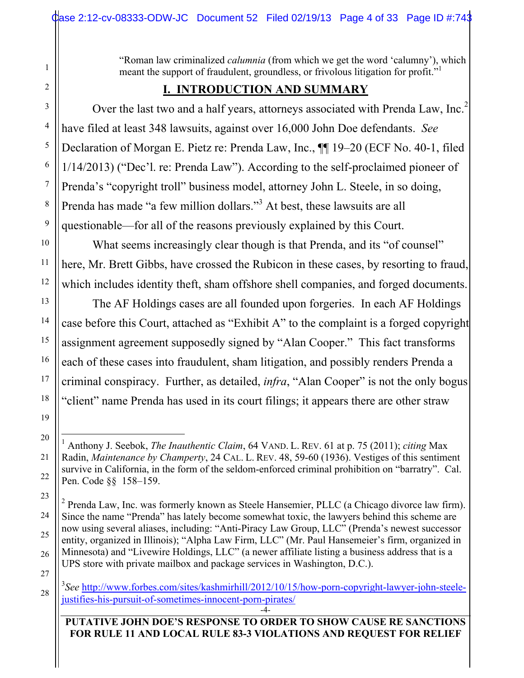"Roman law criminalized *calumnia* (from which we get the word 'calumny'), which meant the support of fraudulent, groundless, or frivolous litigation for profit."

## **I. INTRODUCTION AND SUMMARY**

Over the last two and a half years, attorneys associated with Prenda Law, Inc.<sup>2</sup> have filed at least 348 lawsuits, against over 16,000 John Doe defendants. *See*  Declaration of Morgan E. Pietz re: Prenda Law, Inc., ¶¶ 19–20 (ECF No. 40-1, filed 1/14/2013) ("Dec'l. re: Prenda Law"). According to the self-proclaimed pioneer of Prenda's "copyright troll" business model, attorney John L. Steele, in so doing, Prenda has made "a few million dollars."<sup>3</sup> At best, these lawsuits are all questionable—for all of the reasons previously explained by this Court.

What seems increasingly clear though is that Prenda, and its "of counsel" here, Mr. Brett Gibbs, have crossed the Rubicon in these cases, by resorting to fraud, which includes identity theft, sham offshore shell companies, and forged documents.

The AF Holdings cases are all founded upon forgeries. In each AF Holdings case before this Court, attached as "Exhibit A" to the complaint is a forged copyright assignment agreement supposedly signed by "Alan Cooper." This fact transforms each of these cases into fraudulent, sham litigation, and possibly renders Prenda a criminal conspiracy. Further, as detailed, *infra*, "Alan Cooper" is not the only bogus "client" name Prenda has used in its court filings; it appears there are other straw

 $\frac{1}{1}$  Anthony J. Seebok, *The Inauthentic Claim*, 64 VAND. L. REV. 61 at p. 75 (2011); *citing* Max Radin, *Maintenance by Champerty*, 24 CAL. L. REV. 48, 59-60 (1936). Vestiges of this sentiment survive in California, in the form of the seldom-enforced criminal prohibition on "barratry". Cal. Pen. Code §§ 158–159.

 $2^2$  Prenda Law, Inc. was formerly known as Steele Hansemier, PLLC (a Chicago divorce law firm). Since the name "Prenda" has lately become somewhat toxic, the lawyers behind this scheme are now using several aliases, including: "Anti-Piracy Law Group, LLC" (Prenda's newest successor entity, organized in Illinois); "Alpha Law Firm, LLC" (Mr. Paul Hansemeier's firm, organized in Minnesota) and "Livewire Holdings, LLC" (a newer affiliate listing a business address that is a UPS store with private mailbox and package services in Washington, D.C.).

<sup>3</sup> *See* http://www.forbes.com/sites/kashmirhill/2012/10/15/how-porn-copyright-lawyer-john-steelejustifies-his-pursuit-of-sometimes-innocent-porn-pirates/

**PUTATIVE JOHN DOE'S RESPONSE TO ORDER TO SHOW CAUSE RE SANCTIONS FOR RULE 11 AND LOCAL RULE 83-3 VIOLATIONS AND REQUEST FOR RELIEF**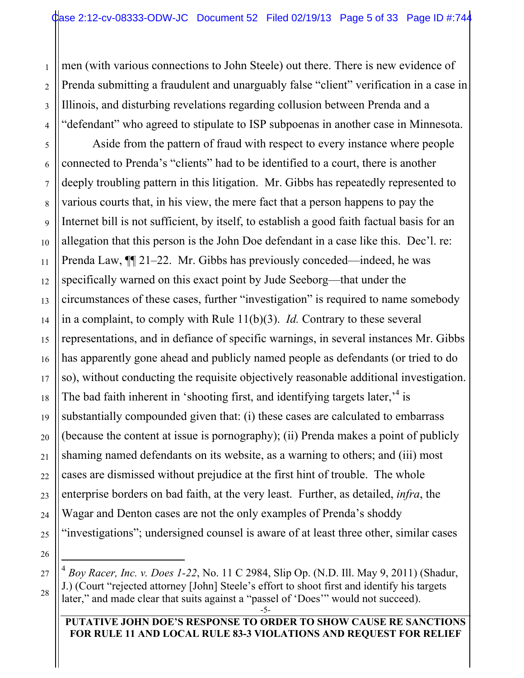men (with various connections to John Steele) out there. There is new evidence of Prenda submitting a fraudulent and unarguably false "client" verification in a case in Illinois, and disturbing revelations regarding collusion between Prenda and a "defendant" who agreed to stipulate to ISP subpoenas in another case in Minnesota.

Aside from the pattern of fraud with respect to every instance where people connected to Prenda's "clients" had to be identified to a court, there is another deeply troubling pattern in this litigation. Mr. Gibbs has repeatedly represented to various courts that, in his view, the mere fact that a person happens to pay the Internet bill is not sufficient, by itself, to establish a good faith factual basis for an allegation that this person is the John Doe defendant in a case like this. Dec'l. re: Prenda Law, ¶¶ 21–22. Mr. Gibbs has previously conceded—indeed, he was specifically warned on this exact point by Jude Seeborg—that under the circumstances of these cases, further "investigation" is required to name somebody in a complaint, to comply with Rule 11(b)(3). *Id.* Contrary to these several representations, and in defiance of specific warnings, in several instances Mr. Gibbs has apparently gone ahead and publicly named people as defendants (or tried to do so), without conducting the requisite objectively reasonable additional investigation. The bad faith inherent in 'shooting first, and identifying targets later,  $4$  is substantially compounded given that: (i) these cases are calculated to embarrass (because the content at issue is pornography); (ii) Prenda makes a point of publicly shaming named defendants on its website, as a warning to others; and (iii) most cases are dismissed without prejudice at the first hint of trouble. The whole enterprise borders on bad faith, at the very least. Further, as detailed, *infra*, the Wagar and Denton cases are not the only examples of Prenda's shoddy "investigations"; undersigned counsel is aware of at least three other, similar cases

#### **PUTATIVE JOHN DOE'S RESPONSE TO ORDER TO SHOW CAUSE RE SANCTIONS FOR RULE 11 AND LOCAL RULE 83-3 VIOLATIONS AND REQUEST FOR RELIEF**

 <sup>4</sup> *Boy Racer, Inc. v. Does 1-22*, No. 11 C 2984, Slip Op. (N.D. Ill. May 9, 2011) (Shadur, J.) (Court "rejected attorney [John] Steele's effort to shoot first and identify his targets later," and made clear that suits against a "passel of 'Does'" would not succeed).

<sup>-5-</sup>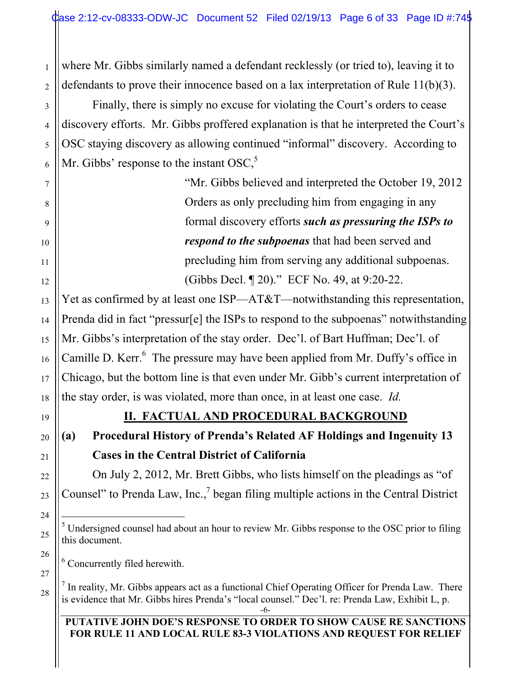where Mr. Gibbs similarly named a defendant recklessly (or tried to), leaving it to defendants to prove their innocence based on a lax interpretation of Rule 11(b)(3).

Finally, there is simply no excuse for violating the Court's orders to cease discovery efforts. Mr. Gibbs proffered explanation is that he interpreted the Court's OSC staying discovery as allowing continued "informal" discovery. According to Mr. Gibbs' response to the instant  $OSC<sub>2</sub><sup>5</sup>$ 

> "Mr. Gibbs believed and interpreted the October 19, 2012 Orders as only precluding him from engaging in any formal discovery efforts *such as pressuring the ISPs to respond to the subpoenas* that had been served and precluding him from serving any additional subpoenas. (Gibbs Decl. ¶ 20)." ECF No. 49, at 9:20-22.

Yet as confirmed by at least one ISP—AT&T—notwithstanding this representation, Prenda did in fact "pressur[e] the ISPs to respond to the subpoenas" notwithstanding Mr. Gibbs's interpretation of the stay order. Dec'l. of Bart Huffman; Dec'l. of Camille D. Kerr. $6$  The pressure may have been applied from Mr. Duffy's office in Chicago, but the bottom line is that even under Mr. Gibb's current interpretation of the stay order, is was violated, more than once, in at least one case. *Id.* 

19

1

2

3

4

5

6

7

8

9

10

11

12

13

14

15

16

17

18

20

21

22

23

24

25

26

27

28

## **II. FACTUAL AND PROCEDURAL BACKGROUND**

# **(a) Procedural History of Prenda's Related AF Holdings and Ingenuity 13 Cases in the Central District of California**

On July 2, 2012, Mr. Brett Gibbs, who lists himself on the pleadings as "of Counsel" to Prenda Law, Inc., $\frac{7}{5}$  began filing multiple actions in the Central District

6 Concurrently filed herewith.

 $<sup>7</sup>$  In reality, Mr. Gibbs appears act as a functional Chief Operating Officer for Prenda Law. There</sup> is evidence that Mr. Gibbs hires Prenda's "local counsel." Dec'l. re: Prenda Law, Exhibit L, p.

 $\frac{1}{5}$  $<sup>5</sup>$  Undersigned counsel had about an hour to review Mr. Gibbs response to the OSC prior to filing</sup> this document.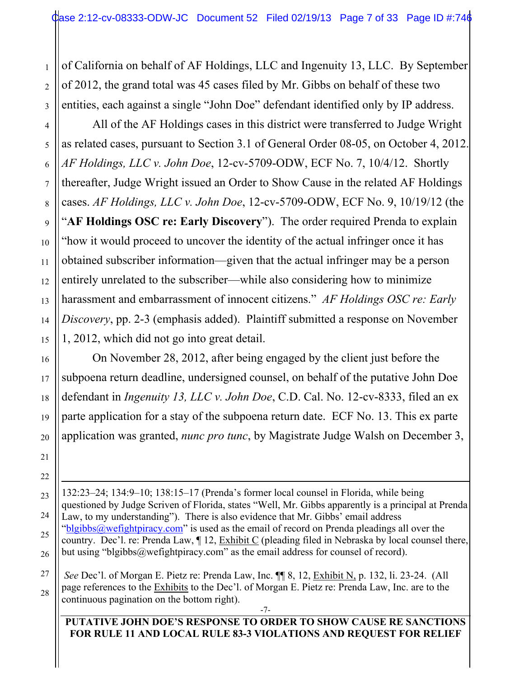of California on behalf of AF Holdings, LLC and Ingenuity 13, LLC. By September of 2012, the grand total was 45 cases filed by Mr. Gibbs on behalf of these two entities, each against a single "John Doe" defendant identified only by IP address.

All of the AF Holdings cases in this district were transferred to Judge Wright as related cases, pursuant to Section 3.1 of General Order 08-05, on October 4, 2012. *AF Holdings, LLC v. John Doe*, 12-cv-5709-ODW, ECF No. 7, 10/4/12. Shortly thereafter, Judge Wright issued an Order to Show Cause in the related AF Holdings cases. *AF Holdings, LLC v. John Doe*, 12-cv-5709-ODW, ECF No. 9, 10/19/12 (the "**AF Holdings OSC re: Early Discovery**"). The order required Prenda to explain "how it would proceed to uncover the identity of the actual infringer once it has obtained subscriber information—given that the actual infringer may be a person entirely unrelated to the subscriber—while also considering how to minimize harassment and embarrassment of innocent citizens." *AF Holdings OSC re: Early Discovery*, pp. 2-3 (emphasis added). Plaintiff submitted a response on November 1, 2012, which did not go into great detail.

On November 28, 2012, after being engaged by the client just before the subpoena return deadline, undersigned counsel, on behalf of the putative John Doe defendant in *Ingenuity 13, LLC v. John Doe*, C.D. Cal. No. 12-cv-8333, filed an ex parte application for a stay of the subpoena return date. ECF No. 13. This ex parte application was granted, *nunc pro tunc*, by Magistrate Judge Walsh on December 3,

 $\overline{a}$ 132:23–24; 134:9–10; 138:15–17 (Prenda's former local counsel in Florida, while being questioned by Judge Scriven of Florida, states "Well, Mr. Gibbs apparently is a principal at Prenda Law, to my understanding"). There is also evidence that Mr. Gibbs' email address "blgibbs@wefightpiracy.com" is used as the email of record on Prenda pleadings all over the country. Dec'l. re: Prenda Law,  $\P$  12, Exhibit C (pleading filed in Nebraska by local counsel there, but using "blgibbs@wefightpiracy.com" as the email address for counsel of record).

*See* Dec'l. of Morgan E. Pietz re: Prenda Law, Inc. ¶¶ 8, 12, Exhibit N, p. 132, li. 23-24. (All page references to the Exhibits to the Dec'l. of Morgan E. Pietz re: Prenda Law, Inc. are to the continuous pagination on the bottom right).

#### -7- **PUTATIVE JOHN DOE'S RESPONSE TO ORDER TO SHOW CAUSE RE SANCTIONS FOR RULE 11 AND LOCAL RULE 83-3 VIOLATIONS AND REQUEST FOR RELIEF**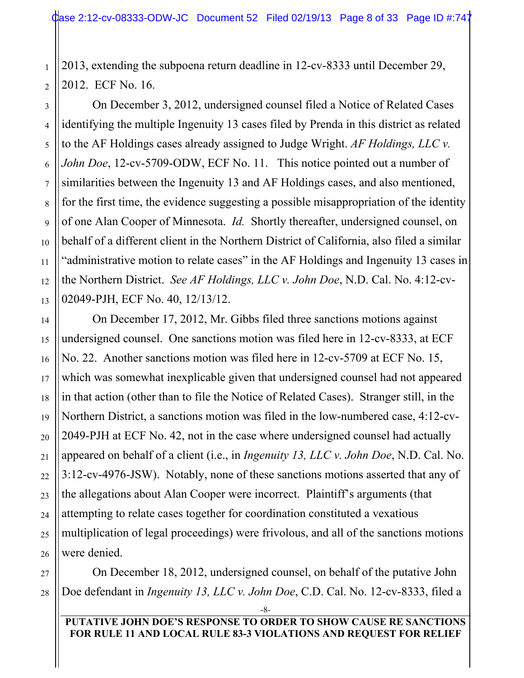2013, extending the subpoena return deadline in 12-cv-8333 until December 29, 2012. ECF No. 16.

On December 3, 2012, undersigned counsel filed a Notice of Related Cases identifying the multiple Ingenuity 13 cases filed by Prenda in this district as related to the AF Holdings cases already assigned to Judge Wright. *AF Holdings, LLC v. John Doe*, 12-cv-5709-ODW, ECF No. 11. This notice pointed out a number of similarities between the Ingenuity 13 and AF Holdings cases, and also mentioned, for the first time, the evidence suggesting a possible misappropriation of the identity of one Alan Cooper of Minnesota. *Id.* Shortly thereafter, undersigned counsel, on behalf of a different client in the Northern District of California, also filed a similar "administrative motion to relate cases" in the AF Holdings and Ingenuity 13 cases in the Northern District. *See AF Holdings, LLC v. John Doe*, N.D. Cal. No. 4:12-cv-02049-PJH, ECF No. 40, 12/13/12.

On December 17, 2012, Mr. Gibbs filed three sanctions motions against undersigned counsel. One sanctions motion was filed here in 12-cv-8333, at ECF No. 22. Another sanctions motion was filed here in 12-cv-5709 at ECF No. 15, which was somewhat inexplicable given that undersigned counsel had not appeared in that action (other than to file the Notice of Related Cases). Stranger still, in the Northern District, a sanctions motion was filed in the low-numbered case, 4:12-cv-2049-PJH at ECF No. 42, not in the case where undersigned counsel had actually appeared on behalf of a client (i.e., in *Ingenuity 13, LLC v. John Doe*, N.D. Cal. No. 3:12-cv-4976-JSW). Notably, none of these sanctions motions asserted that any of the allegations about Alan Cooper were incorrect. Plaintiff's arguments (that attempting to relate cases together for coordination constituted a vexatious multiplication of legal proceedings) were frivolous, and all of the sanctions motions were denied.

On December 18, 2012, undersigned counsel, on behalf of the putative John Doe defendant in *Ingenuity 13, LLC v. John Doe*, C.D. Cal. No. 12-cv-8333, filed a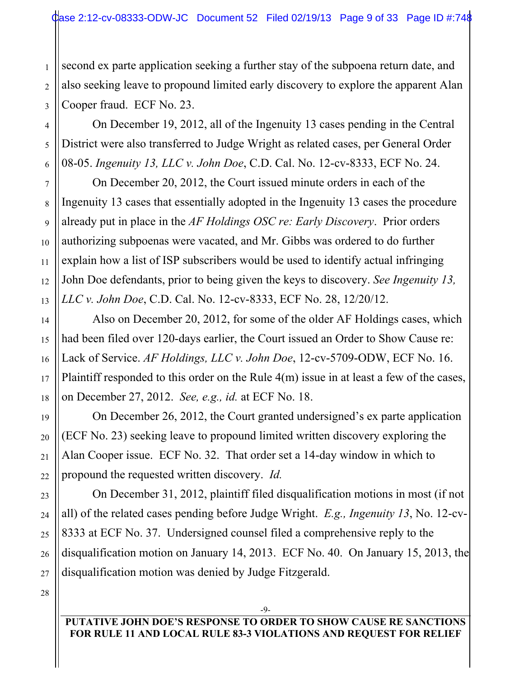second ex parte application seeking a further stay of the subpoena return date, and also seeking leave to propound limited early discovery to explore the apparent Alan Cooper fraud. ECF No. 23.

On December 19, 2012, all of the Ingenuity 13 cases pending in the Central District were also transferred to Judge Wright as related cases, per General Order 08-05. *Ingenuity 13, LLC v. John Doe*, C.D. Cal. No. 12-cv-8333, ECF No. 24.

On December 20, 2012, the Court issued minute orders in each of the Ingenuity 13 cases that essentially adopted in the Ingenuity 13 cases the procedure already put in place in the *AF Holdings OSC re: Early Discovery*. Prior orders authorizing subpoenas were vacated, and Mr. Gibbs was ordered to do further explain how a list of ISP subscribers would be used to identify actual infringing John Doe defendants, prior to being given the keys to discovery. *See Ingenuity 13, LLC v. John Doe*, C.D. Cal. No. 12-cv-8333, ECF No. 28, 12/20/12.

Also on December 20, 2012, for some of the older AF Holdings cases, which had been filed over 120-days earlier, the Court issued an Order to Show Cause re: Lack of Service. *AF Holdings, LLC v. John Doe*, 12-cv-5709-ODW, ECF No. 16. Plaintiff responded to this order on the Rule 4(m) issue in at least a few of the cases, on December 27, 2012. *See, e.g., id.* at ECF No. 18.

On December 26, 2012, the Court granted undersigned's ex parte application (ECF No. 23) seeking leave to propound limited written discovery exploring the Alan Cooper issue. ECF No. 32. That order set a 14-day window in which to propound the requested written discovery. *Id.* 

On December 31, 2012, plaintiff filed disqualification motions in most (if not all) of the related cases pending before Judge Wright. *E.g., Ingenuity 13*, No. 12-cv-8333 at ECF No. 37. Undersigned counsel filed a comprehensive reply to the disqualification motion on January 14, 2013. ECF No. 40. On January 15, 2013, the disqualification motion was denied by Judge Fitzgerald.

**PUTATIVE JOHN DOE'S RESPONSE TO ORDER TO SHOW CAUSE RE SANCTIONS FOR RULE 11 AND LOCAL RULE 83-3 VIOLATIONS AND REQUEST FOR RELIEF**

-9-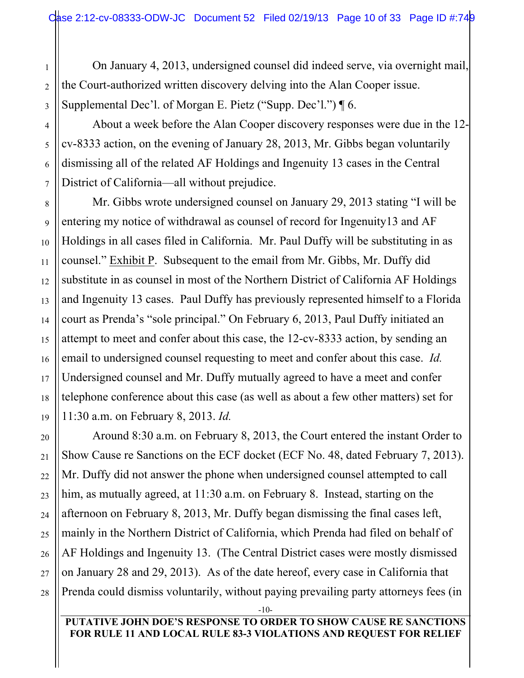On January 4, 2013, undersigned counsel did indeed serve, via overnight mail, the Court-authorized written discovery delving into the Alan Cooper issue. Supplemental Dec'l. of Morgan E. Pietz ("Supp. Dec'l.") ¶ 6.

About a week before the Alan Cooper discovery responses were due in the 12 cv-8333 action, on the evening of January 28, 2013, Mr. Gibbs began voluntarily dismissing all of the related AF Holdings and Ingenuity 13 cases in the Central District of California—all without prejudice.

Mr. Gibbs wrote undersigned counsel on January 29, 2013 stating "I will be entering my notice of withdrawal as counsel of record for Ingenuity13 and AF Holdings in all cases filed in California. Mr. Paul Duffy will be substituting in as counsel." Exhibit P. Subsequent to the email from Mr. Gibbs, Mr. Duffy did substitute in as counsel in most of the Northern District of California AF Holdings and Ingenuity 13 cases. Paul Duffy has previously represented himself to a Florida court as Prenda's "sole principal." On February 6, 2013, Paul Duffy initiated an attempt to meet and confer about this case, the 12-cv-8333 action, by sending an email to undersigned counsel requesting to meet and confer about this case. *Id.*  Undersigned counsel and Mr. Duffy mutually agreed to have a meet and confer telephone conference about this case (as well as about a few other matters) set for 11:30 a.m. on February 8, 2013. *Id.* 

Around 8:30 a.m. on February 8, 2013, the Court entered the instant Order to Show Cause re Sanctions on the ECF docket (ECF No. 48, dated February 7, 2013). Mr. Duffy did not answer the phone when undersigned counsel attempted to call him, as mutually agreed, at 11:30 a.m. on February 8. Instead, starting on the afternoon on February 8, 2013, Mr. Duffy began dismissing the final cases left, mainly in the Northern District of California, which Prenda had filed on behalf of AF Holdings and Ingenuity 13. (The Central District cases were mostly dismissed on January 28 and 29, 2013). As of the date hereof, every case in California that Prenda could dismiss voluntarily, without paying prevailing party attorneys fees (in

-10-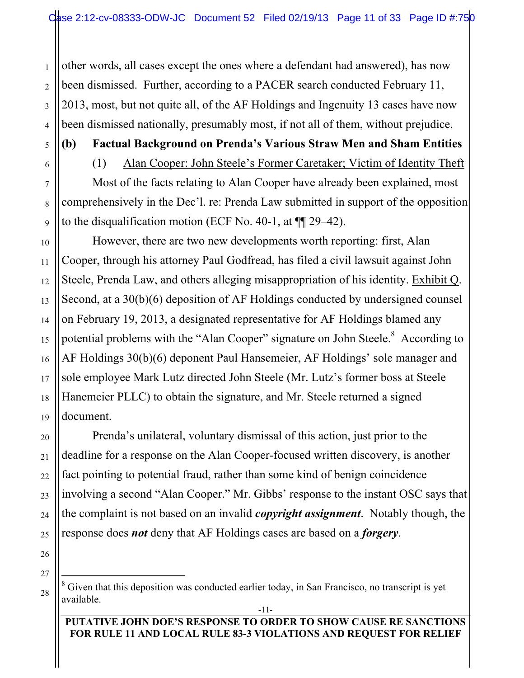other words, all cases except the ones where a defendant had answered), has now been dismissed. Further, according to a PACER search conducted February 11, 2013, most, but not quite all, of the AF Holdings and Ingenuity 13 cases have now been dismissed nationally, presumably most, if not all of them, without prejudice.

1

2

3

4

5

6

7

8

9

10

11

12

13

14

15

16

17

18

19

20

21

22

23

24

25

## **(b) Factual Background on Prenda's Various Straw Men and Sham Entities**

(1) Alan Cooper: John Steele's Former Caretaker; Victim of Identity Theft

Most of the facts relating to Alan Cooper have already been explained, most comprehensively in the Dec'l. re: Prenda Law submitted in support of the opposition to the disqualification motion (ECF No. 40-1, at ¶¶ 29–42).

However, there are two new developments worth reporting: first, Alan Cooper, through his attorney Paul Godfread, has filed a civil lawsuit against John Steele, Prenda Law, and others alleging misappropriation of his identity. Exhibit Q. Second, at a 30(b)(6) deposition of AF Holdings conducted by undersigned counsel on February 19, 2013, a designated representative for AF Holdings blamed any potential problems with the "Alan Cooper" signature on John Steele.<sup>8</sup> According to AF Holdings 30(b)(6) deponent Paul Hansemeier, AF Holdings' sole manager and sole employee Mark Lutz directed John Steele (Mr. Lutz's former boss at Steele Hanemeier PLLC) to obtain the signature, and Mr. Steele returned a signed document.

Prenda's unilateral, voluntary dismissal of this action, just prior to the deadline for a response on the Alan Cooper-focused written discovery, is another fact pointing to potential fraud, rather than some kind of benign coincidence involving a second "Alan Cooper." Mr. Gibbs' response to the instant OSC says that the complaint is not based on an invalid *copyright assignment*. Notably though, the response does *not* deny that AF Holdings cases are based on a *forgery*.

26 27

 <sup>8</sup>  $8$  Given that this deposition was conducted earlier today, in San Francisco, no transcript is yet available.

**PUTATIVE JOHN DOE'S RESPONSE TO ORDER TO SHOW CAUSE RE SANCTIONS FOR RULE 11 AND LOCAL RULE 83-3 VIOLATIONS AND REQUEST FOR RELIEF**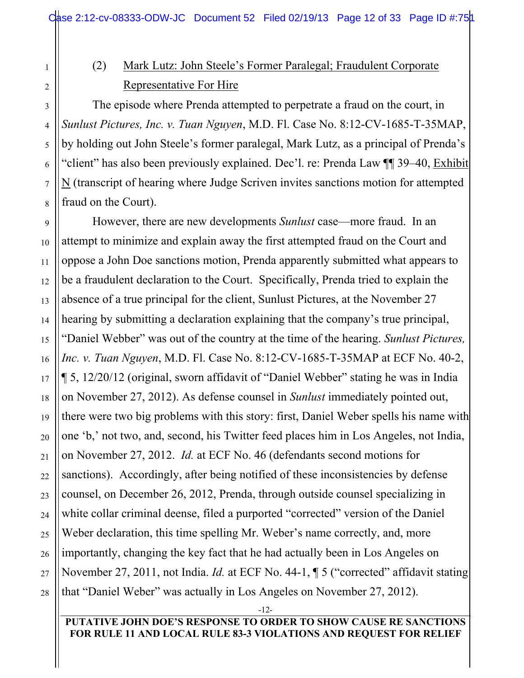# (2) Mark Lutz: John Steele's Former Paralegal; Fraudulent Corporate Representative For Hire

1

2

3

4

5

6

7

8

The episode where Prenda attempted to perpetrate a fraud on the court, in *Sunlust Pictures, Inc. v. Tuan Nguyen*, M.D. Fl. Case No. 8:12-CV-1685-T-35MAP, by holding out John Steele's former paralegal, Mark Lutz, as a principal of Prenda's "client" has also been previously explained. Dec'l. re: Prenda Law ¶¶ 39–40, Exhibit N (transcript of hearing where Judge Scriven invites sanctions motion for attempted fraud on the Court).

9 10 11 12 13 14 15 16 17 18 19 20 21 22 23 24 25 26 27 28 However, there are new developments *Sunlust* case—more fraud. In an attempt to minimize and explain away the first attempted fraud on the Court and oppose a John Doe sanctions motion, Prenda apparently submitted what appears to be a fraudulent declaration to the Court. Specifically, Prenda tried to explain the absence of a true principal for the client, Sunlust Pictures, at the November 27 hearing by submitting a declaration explaining that the company's true principal, "Daniel Webber" was out of the country at the time of the hearing. *Sunlust Pictures, Inc. v. Tuan Nguyen*, M.D. Fl. Case No. 8:12-CV-1685-T-35MAP at ECF No. 40-2, ¶ 5, 12/20/12 (original, sworn affidavit of "Daniel Webber" stating he was in India on November 27, 2012). As defense counsel in *Sunlust* immediately pointed out, there were two big problems with this story: first, Daniel Weber spells his name with one 'b,' not two, and, second, his Twitter feed places him in Los Angeles, not India, on November 27, 2012. *Id.* at ECF No. 46 (defendants second motions for sanctions). Accordingly, after being notified of these inconsistencies by defense counsel, on December 26, 2012, Prenda, through outside counsel specializing in white collar criminal deense, filed a purported "corrected" version of the Daniel Weber declaration, this time spelling Mr. Weber's name correctly, and, more importantly, changing the key fact that he had actually been in Los Angeles on November 27, 2011, not India. *Id.* at ECF No. 44-1, ¶ 5 ("corrected" affidavit stating that "Daniel Weber" was actually in Los Angeles on November 27, 2012).

-12-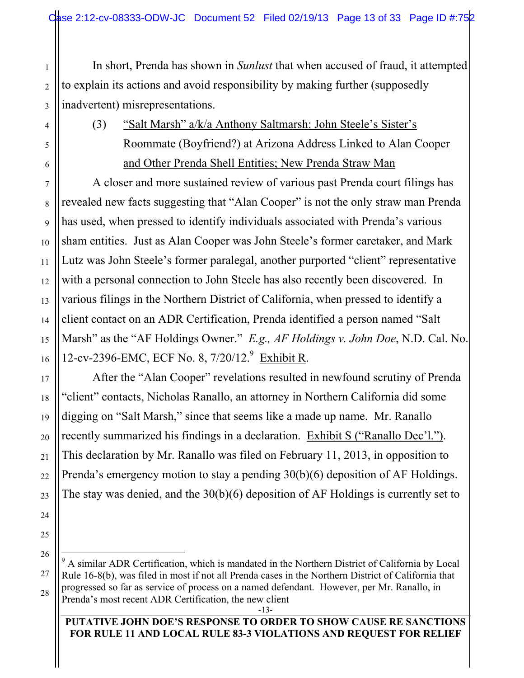In short, Prenda has shown in *Sunlust* that when accused of fraud, it attempted to explain its actions and avoid responsibility by making further (supposedly inadvertent) misrepresentations.

(3) "Salt Marsh" a/k/a Anthony Saltmarsh: John Steele's Sister's Roommate (Boyfriend?) at Arizona Address Linked to Alan Cooper and Other Prenda Shell Entities; New Prenda Straw Man

A closer and more sustained review of various past Prenda court filings has revealed new facts suggesting that "Alan Cooper" is not the only straw man Prenda has used, when pressed to identify individuals associated with Prenda's various sham entities. Just as Alan Cooper was John Steele's former caretaker, and Mark Lutz was John Steele's former paralegal, another purported "client" representative with a personal connection to John Steele has also recently been discovered. In various filings in the Northern District of California, when pressed to identify a client contact on an ADR Certification, Prenda identified a person named "Salt Marsh" as the "AF Holdings Owner." *E.g., AF Holdings v. John Doe*, N.D. Cal. No. 12-cv-2396-EMC, ECF No. 8, 7/20/12.<sup>9</sup> Exhibit R.

After the "Alan Cooper" revelations resulted in newfound scrutiny of Prenda "client" contacts, Nicholas Ranallo, an attorney in Northern California did some digging on "Salt Marsh," since that seems like a made up name. Mr. Ranallo recently summarized his findings in a declaration. Exhibit S ("Ranallo Dec'l."). This declaration by Mr. Ranallo was filed on February 11, 2013, in opposition to Prenda's emergency motion to stay a pending 30(b)(6) deposition of AF Holdings. The stay was denied, and the 30(b)(6) deposition of AF Holdings is currently set to

 9  $^9$  A similar ADR Certification, which is mandated in the Northern District of California by Local Rule 16-8(b), was filed in most if not all Prenda cases in the Northern District of California that progressed so far as service of process on a named defendant. However, per Mr. Ranallo, in Prenda's most recent ADR Certification, the new client

#### **PUTATIVE JOHN DOE'S RESPONSE TO ORDER TO SHOW CAUSE RE SANCTIONS FOR RULE 11 AND LOCAL RULE 83-3 VIOLATIONS AND REQUEST FOR RELIEF**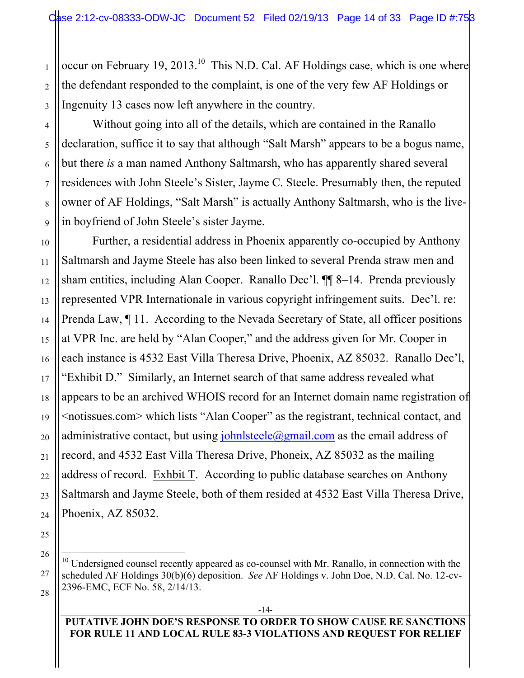occur on February 19, 2013.<sup>10</sup> This N.D. Cal. AF Holdings case, which is one where the defendant responded to the complaint, is one of the very few AF Holdings or Ingenuity 13 cases now left anywhere in the country.

Without going into all of the details, which are contained in the Ranallo declaration, suffice it to say that although "Salt Marsh" appears to be a bogus name, but there *is* a man named Anthony Saltmarsh, who has apparently shared several residences with John Steele's Sister, Jayme C. Steele. Presumably then, the reputed owner of AF Holdings, "Salt Marsh" is actually Anthony Saltmarsh, who is the livein boyfriend of John Steele's sister Jayme.

Further, a residential address in Phoenix apparently co-occupied by Anthony Saltmarsh and Jayme Steele has also been linked to several Prenda straw men and sham entities, including Alan Cooper. Ranallo Dec'l. ¶¶ 8–14. Prenda previously represented VPR Internationale in various copyright infringement suits. Dec'l. re: Prenda Law, ¶ 11. According to the Nevada Secretary of State, all officer positions at VPR Inc. are held by "Alan Cooper," and the address given for Mr. Cooper in each instance is 4532 East Villa Theresa Drive, Phoenix, AZ 85032. Ranallo Dec'l, "Exhibit D." Similarly, an Internet search of that same address revealed what appears to be an archived WHOIS record for an Internet domain name registration of <notissues.com> which lists "Alan Cooper" as the registrant, technical contact, and administrative contact, but using  $\frac{\partial h}{\partial x}$  is  $\frac{\partial h}{\partial y}$  as the email address of record, and 4532 East Villa Theresa Drive, Phoneix, AZ 85032 as the mailing address of record. Exhbit T. According to public database searches on Anthony Saltmarsh and Jayme Steele, both of them resided at 4532 East Villa Theresa Drive, Phoenix, AZ 85032.

#### **PUTATIVE JOHN DOE'S RESPONSE TO ORDER TO SHOW CAUSE RE SANCTIONS FOR RULE 11 AND LOCAL RULE 83-3 VIOLATIONS AND REQUEST FOR RELIEF**

1

 $10<sup>10</sup>$  Undersigned counsel recently appeared as co-counsel with Mr. Ranallo, in connection with the scheduled AF Holdings 30(b)(6) deposition. *See* AF Holdings v. John Doe, N.D. Cal. No. 12-cv-2396-EMC, ECF No. 58, 2/14/13.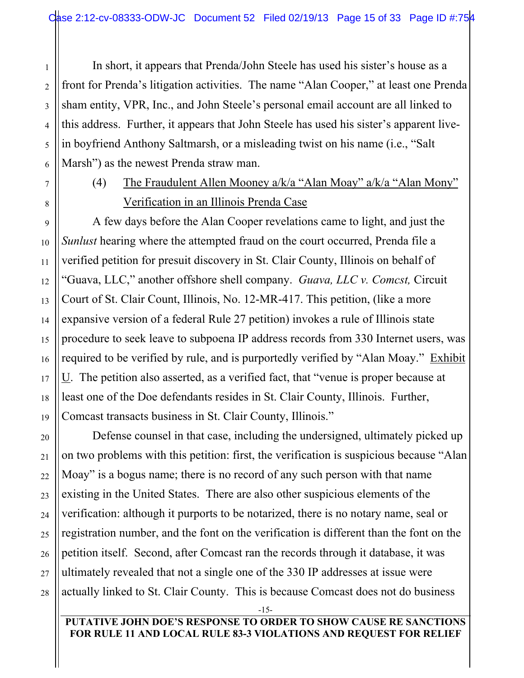In short, it appears that Prenda/John Steele has used his sister's house as a front for Prenda's litigation activities. The name "Alan Cooper," at least one Prenda sham entity, VPR, Inc., and John Steele's personal email account are all linked to this address. Further, it appears that John Steele has used his sister's apparent livein boyfriend Anthony Saltmarsh, or a misleading twist on his name (i.e., "Salt Marsh") as the newest Prenda straw man.

# (4) The Fraudulent Allen Mooney a/k/a "Alan Moay" a/k/a "Alan Mony" Verification in an Illinois Prenda Case

A few days before the Alan Cooper revelations came to light, and just the *Sunlust* hearing where the attempted fraud on the court occurred, Prenda file a verified petition for presuit discovery in St. Clair County, Illinois on behalf of "Guava, LLC," another offshore shell company. *Guava, LLC v. Comcst,* Circuit Court of St. Clair Count, Illinois, No. 12-MR-417. This petition, (like a more expansive version of a federal Rule 27 petition) invokes a rule of Illinois state procedure to seek leave to subpoena IP address records from 330 Internet users, was required to be verified by rule, and is purportedly verified by "Alan Moay." Exhibit U. The petition also asserted, as a verified fact, that "venue is proper because at least one of the Doe defendants resides in St. Clair County, Illinois. Further, Comcast transacts business in St. Clair County, Illinois."

Defense counsel in that case, including the undersigned, ultimately picked up on two problems with this petition: first, the verification is suspicious because "Alan Moay" is a bogus name; there is no record of any such person with that name existing in the United States. There are also other suspicious elements of the verification: although it purports to be notarized, there is no notary name, seal or registration number, and the font on the verification is different than the font on the petition itself. Second, after Comcast ran the records through it database, it was ultimately revealed that not a single one of the 330 IP addresses at issue were actually linked to St. Clair County. This is because Comcast does not do business

-15-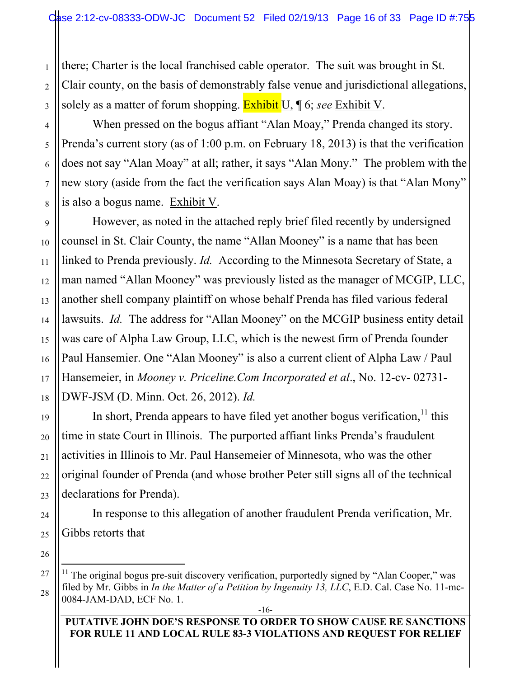there; Charter is the local franchised cable operator. The suit was brought in St. Clair county, on the basis of demonstrably false venue and jurisdictional allegations, solely as a matter of forum shopping. Exhibit U, ¶ 6; *see* Exhibit V.

When pressed on the bogus affiant "Alan Moay," Prenda changed its story. Prenda's current story (as of 1:00 p.m. on February 18, 2013) is that the verification does not say "Alan Moay" at all; rather, it says "Alan Mony." The problem with the new story (aside from the fact the verification says Alan Moay) is that "Alan Mony" is also a bogus name. Exhibit V.

However, as noted in the attached reply brief filed recently by undersigned counsel in St. Clair County, the name "Allan Mooney" is a name that has been linked to Prenda previously. *Id.* According to the Minnesota Secretary of State, a man named "Allan Mooney" was previously listed as the manager of MCGIP, LLC, another shell company plaintiff on whose behalf Prenda has filed various federal lawsuits. *Id.* The address for "Allan Mooney" on the MCGIP business entity detail was care of Alpha Law Group, LLC, which is the newest firm of Prenda founder Paul Hansemier. One "Alan Mooney" is also a current client of Alpha Law / Paul Hansemeier, in *Mooney v. Priceline.Com Incorporated et al*., No. 12-cv- 02731- DWF-JSM (D. Minn. Oct. 26, 2012). *Id.*

In short, Prenda appears to have filed yet another bogus verification,  $\frac{11}{11}$  this time in state Court in Illinois. The purported affiant links Prenda's fraudulent activities in Illinois to Mr. Paul Hansemeier of Minnesota, who was the other original founder of Prenda (and whose brother Peter still signs all of the technical declarations for Prenda).

In response to this allegation of another fraudulent Prenda verification, Mr. Gibbs retorts that

#### **PUTATIVE JOHN DOE'S RESPONSE TO ORDER TO SHOW CAUSE RE SANCTIONS FOR RULE 11 AND LOCAL RULE 83-3 VIOLATIONS AND REQUEST FOR RELIEF**

 $11$  The original bogus pre-suit discovery verification, purportedly signed by "Alan Cooper," was filed by Mr. Gibbs in *In the Matter of a Petition by Ingenuity 13, LLC*, E.D. Cal. Case No. 11-mc-0084-JAM-DAD, ECF No. 1.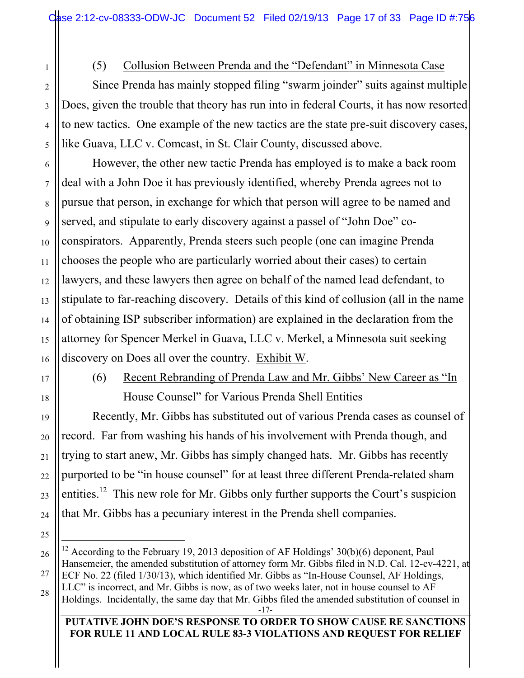## (5) Collusion Between Prenda and the "Defendant" in Minnesota Case

Since Prenda has mainly stopped filing "swarm joinder" suits against multiple Does, given the trouble that theory has run into in federal Courts, it has now resorted to new tactics. One example of the new tactics are the state pre-suit discovery cases, like Guava, LLC v. Comcast, in St. Clair County, discussed above.

However, the other new tactic Prenda has employed is to make a back room deal with a John Doe it has previously identified, whereby Prenda agrees not to pursue that person, in exchange for which that person will agree to be named and served, and stipulate to early discovery against a passel of "John Doe" coconspirators. Apparently, Prenda steers such people (one can imagine Prenda chooses the people who are particularly worried about their cases) to certain lawyers, and these lawyers then agree on behalf of the named lead defendant, to stipulate to far-reaching discovery. Details of this kind of collusion (all in the name of obtaining ISP subscriber information) are explained in the declaration from the attorney for Spencer Merkel in Guava, LLC v. Merkel, a Minnesota suit seeking discovery on Does all over the country. Exhibit W.

1

2

3

4

5

6

7

8

9

10

11

12

13

14

15

16

17

18

19

20

21

22

23

24

25

27

## (6) Recent Rebranding of Prenda Law and Mr. Gibbs' New Career as "In House Counsel" for Various Prenda Shell Entities

Recently, Mr. Gibbs has substituted out of various Prenda cases as counsel of record. Far from washing his hands of his involvement with Prenda though, and trying to start anew, Mr. Gibbs has simply changed hats. Mr. Gibbs has recently purported to be "in house counsel" for at least three different Prenda-related sham entities.<sup>12</sup> This new role for Mr. Gibbs only further supports the Court's suspicion that Mr. Gibbs has a pecuniary interest in the Prenda shell companies.

<sup>26</sup> 28 <sup>12</sup> According to the February 19, 2013 deposition of AF Holdings' 30(b)(6) deponent, Paul Hansemeier, the amended substitution of attorney form Mr. Gibbs filed in N.D. Cal. 12-cv-4221, at ECF No. 22 (filed 1/30/13), which identified Mr. Gibbs as "In-House Counsel, AF Holdings, LLC" is incorrect, and Mr. Gibbs is now, as of two weeks later, not in house counsel to AF Holdings. Incidentally, the same day that Mr. Gibbs filed the amended substitution of counsel in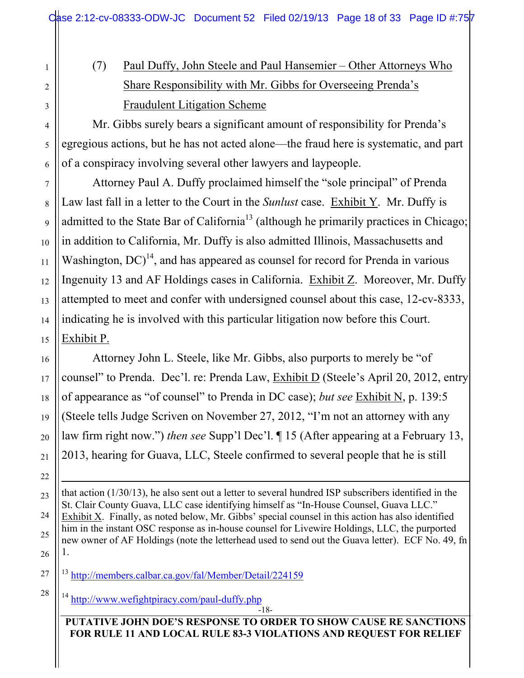# (7) Paul Duffy, John Steele and Paul Hansemier – Other Attorneys Who Share Responsibility with Mr. Gibbs for Overseeing Prenda's Fraudulent Litigation Scheme

Mr. Gibbs surely bears a significant amount of responsibility for Prenda's egregious actions, but he has not acted alone—the fraud here is systematic, and part of a conspiracy involving several other lawyers and laypeople.

Attorney Paul A. Duffy proclaimed himself the "sole principal" of Prenda Law last fall in a letter to the Court in the *Sunlust* case. Exhibit Y. Mr. Duffy is admitted to the State Bar of California<sup>13</sup> (although he primarily practices in Chicago; in addition to California, Mr. Duffy is also admitted Illinois, Massachusetts and Washington,  $DC$ <sup>14</sup>, and has appeared as counsel for record for Prenda in various Ingenuity 13 and AF Holdings cases in California. Exhibit Z. Moreover, Mr. Duffy attempted to meet and confer with undersigned counsel about this case, 12-cv-8333, indicating he is involved with this particular litigation now before this Court. Exhibit P.

Attorney John L. Steele, like Mr. Gibbs, also purports to merely be "of counsel" to Prenda. Dec'l. re: Prenda Law, Exhibit D (Steele's April 20, 2012, entry of appearance as "of counsel" to Prenda in DC case); *but see* Exhibit N, p. 139:5 (Steele tells Judge Scriven on November 27, 2012, "I'm not an attorney with any law firm right now.") *then see* Supp'l Dec'l. ¶ 15 (After appearing at a February 13, 2013, hearing for Guava, LLC, Steele confirmed to several people that he is still

 $\overline{a}$ that action (1/30/13), he also sent out a letter to several hundred ISP subscribers identified in the St. Clair County Guava, LLC case identifying himself as "In-House Counsel, Guava LLC." Exhibit X. Finally, as noted below, Mr. Gibbs' special counsel in this action has also identified him in the instant OSC response as in-house counsel for Livewire Holdings, LLC, the purported new owner of AF Holdings (note the letterhead used to send out the Guava letter). ECF No. 49, fn 1.

<sup>13</sup> http://members.calbar.ca.gov/fal/Member/Detail/224159

<sup>14</sup> http://www.wefightpiracy.com/paul-duffy.php

-18-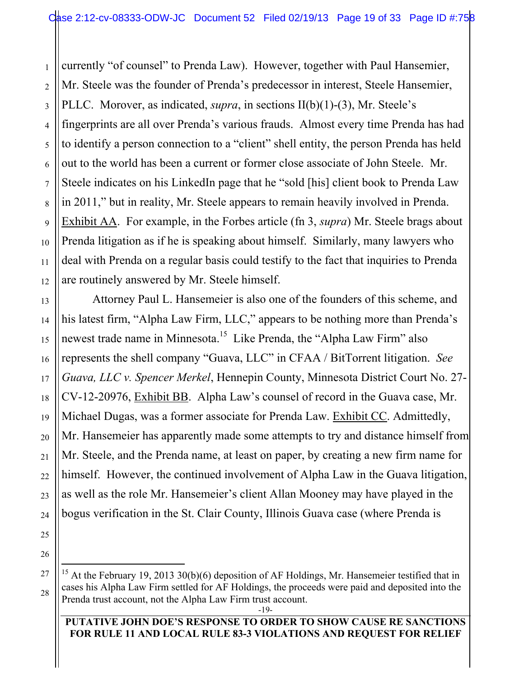currently "of counsel" to Prenda Law). However, together with Paul Hansemier, Mr. Steele was the founder of Prenda's predecessor in interest, Steele Hansemier, PLLC. Morover, as indicated, *supra*, in sections II(b)(1)-(3), Mr. Steele's fingerprints are all over Prenda's various frauds. Almost every time Prenda has had to identify a person connection to a "client" shell entity, the person Prenda has held out to the world has been a current or former close associate of John Steele. Mr. Steele indicates on his LinkedIn page that he "sold [his] client book to Prenda Law in 2011," but in reality, Mr. Steele appears to remain heavily involved in Prenda. Exhibit AA. For example, in the Forbes article (fn 3, *supra*) Mr. Steele brags about Prenda litigation as if he is speaking about himself. Similarly, many lawyers who deal with Prenda on a regular basis could testify to the fact that inquiries to Prenda are routinely answered by Mr. Steele himself.

Attorney Paul L. Hansemeier is also one of the founders of this scheme, and his latest firm, "Alpha Law Firm, LLC," appears to be nothing more than Prenda's newest trade name in Minnesota.<sup>15</sup> Like Prenda, the "Alpha Law Firm" also represents the shell company "Guava, LLC" in CFAA / BitTorrent litigation. *See Guava, LLC v. Spencer Merkel*, Hennepin County, Minnesota District Court No. 27- CV-12-20976, Exhibit BB. Alpha Law's counsel of record in the Guava case, Mr. Michael Dugas, was a former associate for Prenda Law. Exhibit CC. Admittedly, Mr. Hansemeier has apparently made some attempts to try and distance himself from Mr. Steele, and the Prenda name, at least on paper, by creating a new firm name for himself. However, the continued involvement of Alpha Law in the Guava litigation, as well as the role Mr. Hansemeier's client Allan Mooney may have played in the bogus verification in the St. Clair County, Illinois Guava case (where Prenda is

#### **PUTATIVE JOHN DOE'S RESPONSE TO ORDER TO SHOW CAUSE RE SANCTIONS FOR RULE 11 AND LOCAL RULE 83-3 VIOLATIONS AND REQUEST FOR RELIEF**

<sup>&</sup>lt;sup>15</sup> At the February 19, 2013 30(b)(6) deposition of AF Holdings, Mr. Hansemeier testified that in cases his Alpha Law Firm settled for AF Holdings, the proceeds were paid and deposited into the Prenda trust account, not the Alpha Law Firm trust account.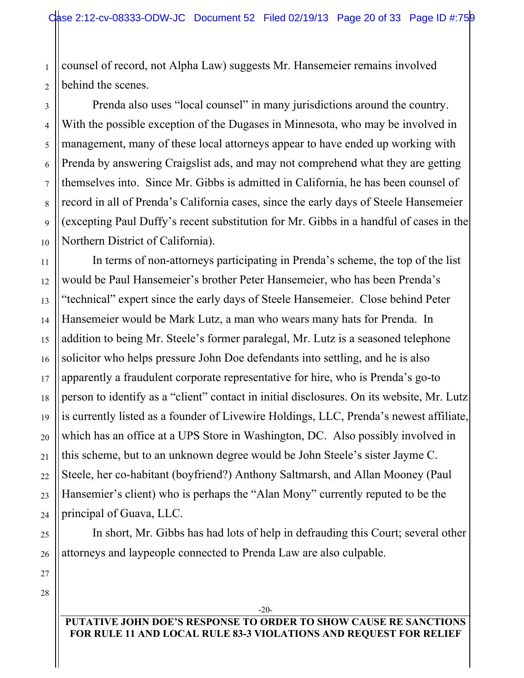1 2 counsel of record, not Alpha Law) suggests Mr. Hansemeier remains involved behind the scenes.

Prenda also uses "local counsel" in many jurisdictions around the country. With the possible exception of the Dugases in Minnesota, who may be involved in management, many of these local attorneys appear to have ended up working with Prenda by answering Craigslist ads, and may not comprehend what they are getting themselves into. Since Mr. Gibbs is admitted in California, he has been counsel of record in all of Prenda's California cases, since the early days of Steele Hansemeier (excepting Paul Duffy's recent substitution for Mr. Gibbs in a handful of cases in the Northern District of California).

12 14 16 20 24 In terms of non-attorneys participating in Prenda's scheme, the top of the list would be Paul Hansemeier's brother Peter Hansemeier, who has been Prenda's "technical" expert since the early days of Steele Hansemeier. Close behind Peter Hansemeier would be Mark Lutz, a man who wears many hats for Prenda. In addition to being Mr. Steele's former paralegal, Mr. Lutz is a seasoned telephone solicitor who helps pressure John Doe defendants into settling, and he is also apparently a fraudulent corporate representative for hire, who is Prenda's go-to person to identify as a "client" contact in initial disclosures. On its website, Mr. Lutz is currently listed as a founder of Livewire Holdings, LLC, Prenda's newest affiliate, which has an office at a UPS Store in Washington, DC. Also possibly involved in this scheme, but to an unknown degree would be John Steele's sister Jayme C. Steele, her co-habitant (boyfriend?) Anthony Saltmarsh, and Allan Mooney (Paul Hansemier's client) who is perhaps the "Alan Mony" currently reputed to be the principal of Guava, LLC.

In short, Mr. Gibbs has had lots of help in defrauding this Court; several other attorneys and laypeople connected to Prenda Law are also culpable.

28

3

4

5

6

7

8

9

10

11

13

15

17

18

19

21

22

23

25

26

27

**PUTATIVE JOHN DOE'S RESPONSE TO ORDER TO SHOW CAUSE RE SANCTIONS FOR RULE 11 AND LOCAL RULE 83-3 VIOLATIONS AND REQUEST FOR RELIEF**

-20-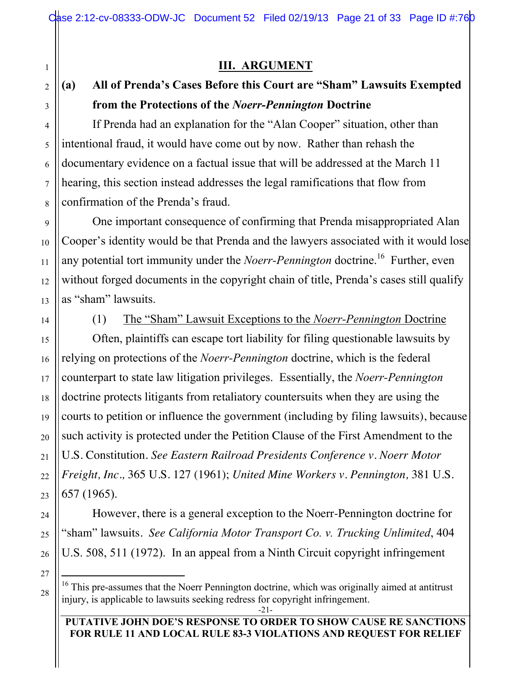## **III. ARGUMENT**

# **(a) All of Prenda's Cases Before this Court are "Sham" Lawsuits Exempted from the Protections of the** *Noerr-Pennington* **Doctrine**

If Prenda had an explanation for the "Alan Cooper" situation, other than intentional fraud, it would have come out by now. Rather than rehash the documentary evidence on a factual issue that will be addressed at the March 11 hearing, this section instead addresses the legal ramifications that flow from confirmation of the Prenda's fraud.

One important consequence of confirming that Prenda misappropriated Alan Cooper's identity would be that Prenda and the lawyers associated with it would lose any potential tort immunity under the *Noerr-Pennington* doctrine.<sup>16</sup> Further, even without forged documents in the copyright chain of title, Prenda's cases still qualify as "sham" lawsuits.

1

2

3

4

5

6

7

8

9

10

11

12

13

14

15

16

17

18

19

20

21

22

23

24

25

26

(1) The "Sham" Lawsuit Exceptions to the *Noerr-Pennington* Doctrine

Often, plaintiffs can escape tort liability for filing questionable lawsuits by relying on protections of the *Noerr-Pennington* doctrine, which is the federal counterpart to state law litigation privileges. Essentially, the *Noerr-Pennington* doctrine protects litigants from retaliatory countersuits when they are using the courts to petition or influence the government (including by filing lawsuits), because such activity is protected under the Petition Clause of the First Amendment to the U.S. Constitution. *See Eastern Railroad Presidents Conference v. Noerr Motor Freight, Inc.,* 365 U.S. 127 (1961); *United Mine Workers v. Pennington,* 381 U.S. 657 (1965).

However, there is a general exception to the Noerr-Pennington doctrine for "sham" lawsuits. *See California Motor Transport Co. v. Trucking Unlimited*, 404 U.S. 508, 511 (1972). In an appeal from a Ninth Circuit copyright infringement

 $16$  This pre-assumes that the Noerr Pennington doctrine, which was originally aimed at antitrust injury, is applicable to lawsuits seeking redress for copyright infringement.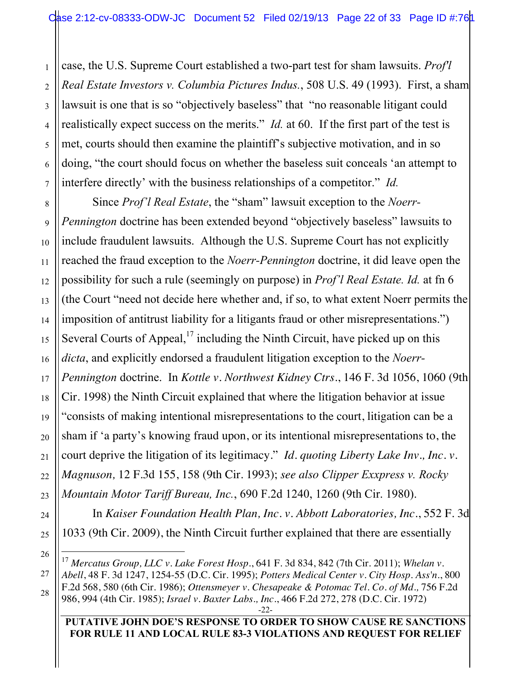4 case, the U.S. Supreme Court established a two-part test for sham lawsuits. *Prof'l Real Estate Investors v. Columbia Pictures Indus.*, 508 U.S. 49 (1993). First, a sham lawsuit is one that is so "objectively baseless" that "no reasonable litigant could realistically expect success on the merits." *Id.* at 60. If the first part of the test is met, courts should then examine the plaintiff's subjective motivation, and in so doing, "the court should focus on whether the baseless suit conceals 'an attempt to interfere directly' with the business relationships of a competitor." *Id.*

1

2

3

5

6

7

8

9

10

11

12

13

14

15

16

17

18

19

20

21

22

23

24

25

26

27

28

Since *Prof'l Real Estate*, the "sham" lawsuit exception to the *Noerr-Pennington* doctrine has been extended beyond "objectively baseless" lawsuits to include fraudulent lawsuits. Although the U.S. Supreme Court has not explicitly reached the fraud exception to the *Noerr-Pennington* doctrine, it did leave open the possibility for such a rule (seemingly on purpose) in *Prof'l Real Estate. Id.* at fn 6 (the Court "need not decide here whether and, if so, to what extent Noerr permits the imposition of antitrust liability for a litigants fraud or other misrepresentations.") Several Courts of Appeal, $17$  including the Ninth Circuit, have picked up on this *dicta*, and explicitly endorsed a fraudulent litigation exception to the *Noerr-Pennington* doctrine. In *Kottle v. Northwest Kidney Ctrs.*, 146 F. 3d 1056, 1060 (9th Cir. 1998) the Ninth Circuit explained that where the litigation behavior at issue "consists of making intentional misrepresentations to the court, litigation can be a sham if 'a party's knowing fraud upon, or its intentional misrepresentations to, the court deprive the litigation of its legitimacy." *Id. quoting Liberty Lake Inv., Inc. v. Magnuson,* 12 F.3d 155, 158 (9th Cir. 1993); *see also Clipper Exxpress v. Rocky Mountain Motor Tariff Bureau, Inc.*, 690 F.2d 1240, 1260 (9th Cir. 1980).

In *Kaiser Foundation Health Plan, Inc. v. Abbott Laboratories, Inc.*, 552 F. 3d 1033 (9th Cir. 2009), the Ninth Circuit further explained that there are essentially

 <sup>17</sup> *Mercatus Group, LLC v. Lake Forest Hosp.*, 641 F. 3d 834, 842 (7th Cir. 2011); *Whelan v. Abell*, 48 F. 3d 1247, 1254-55 (D.C. Cir. 1995); *Potters Medical Center v. City Hosp. Ass'n*., 800 F.2d 568, 580 (6th Cir. 1986); *Ottensmeyer v. Chesapeake & Potomac Tel. Co. of Md.,* 756 F.2d 986, 994 (4th Cir. 1985); *Israel v. Baxter Labs., Inc.*, 466 F.2d 272, 278 (D.C. Cir. 1972)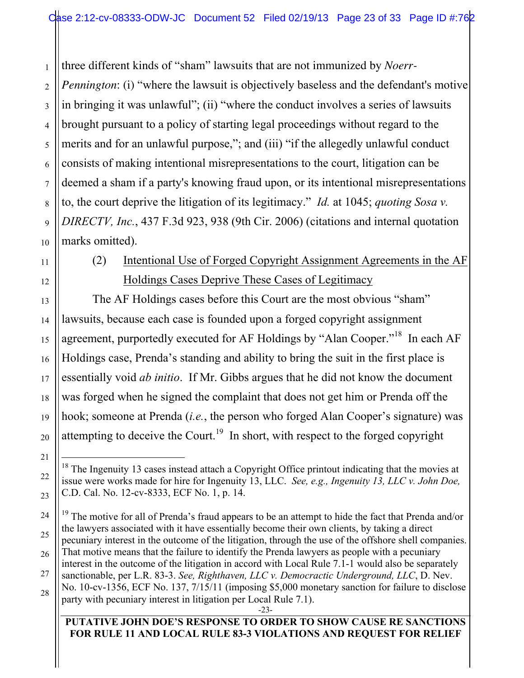1 2 three different kinds of "sham" lawsuits that are not immunized by *Noerr-Pennington*: (i) "where the lawsuit is objectively baseless and the defendant's motive in bringing it was unlawful"; (ii) "where the conduct involves a series of lawsuits brought pursuant to a policy of starting legal proceedings without regard to the merits and for an unlawful purpose,"; and (iii) "if the allegedly unlawful conduct consists of making intentional misrepresentations to the court, litigation can be deemed a sham if a party's knowing fraud upon, or its intentional misrepresentations to, the court deprive the litigation of its legitimacy." *Id.* at 1045; *quoting Sosa v. DIRECTV, Inc.*, 437 F.3d 923, 938 (9th Cir. 2006) (citations and internal quotation marks omitted).

# (2) Intentional Use of Forged Copyright Assignment Agreements in the AF Holdings Cases Deprive These Cases of Legitimacy

The AF Holdings cases before this Court are the most obvious "sham" lawsuits, because each case is founded upon a forged copyright assignment agreement, purportedly executed for AF Holdings by "Alan Cooper."<sup>18</sup> In each AF Holdings case, Prenda's standing and ability to bring the suit in the first place is essentially void *ab initio*. If Mr. Gibbs argues that he did not know the document was forged when he signed the complaint that does not get him or Prenda off the hook; someone at Prenda (*i.e.*, the person who forged Alan Cooper's signature) was attempting to deceive the Court.<sup>19</sup> In short, with respect to the forged copyright

-23-

 $18$  The Ingenuity 13 cases instead attach a Copyright Office printout indicating that the movies at issue were works made for hire for Ingenuity 13, LLC. *See, e.g., Ingenuity 13, LLC v. John Doe,*  C.D. Cal. No. 12-cv-8333, ECF No. 1, p. 14.

<sup>&</sup>lt;sup>19</sup> The motive for all of Prenda's fraud appears to be an attempt to hide the fact that Prenda and/or the lawyers associated with it have essentially become their own clients, by taking a direct pecuniary interest in the outcome of the litigation, through the use of the offshore shell companies. That motive means that the failure to identify the Prenda lawyers as people with a pecuniary interest in the outcome of the litigation in accord with Local Rule 7.1-1 would also be separately sanctionable, per L.R. 83-3. *See, Righthaven, LLC v. Democractic Underground, LLC*, D. Nev. No. 10-cv-1356, ECF No. 137, 7/15/11 (imposing \$5,000 monetary sanction for failure to disclose party with pecuniary interest in litigation per Local Rule 7.1).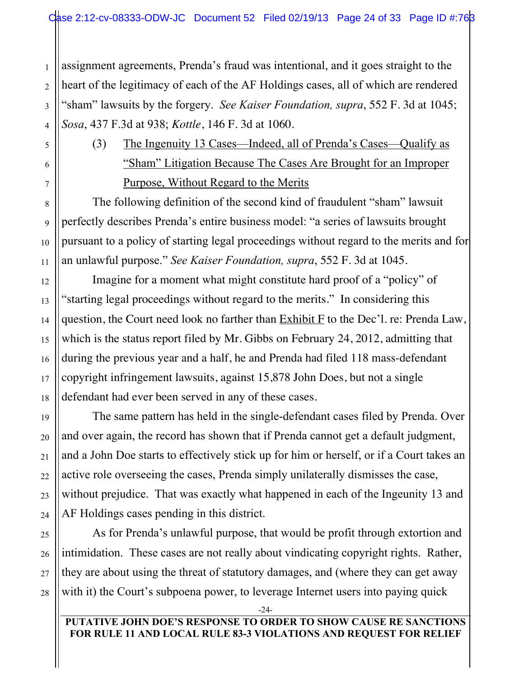assignment agreements, Prenda's fraud was intentional, and it goes straight to the heart of the legitimacy of each of the AF Holdings cases, all of which are rendered "sham" lawsuits by the forgery. *See Kaiser Foundation, supra*, 552 F. 3d at 1045; *Sosa*, 437 F.3d at 938; *Kottle*, 146 F. 3d at 1060.

(3) The Ingenuity 13 Cases—Indeed, all of Prenda's Cases—Qualify as "Sham" Litigation Because The Cases Are Brought for an Improper Purpose, Without Regard to the Merits

The following definition of the second kind of fraudulent "sham" lawsuit perfectly describes Prenda's entire business model: "a series of lawsuits brought pursuant to a policy of starting legal proceedings without regard to the merits and for an unlawful purpose." *See Kaiser Foundation, supra*, 552 F. 3d at 1045.

Imagine for a moment what might constitute hard proof of a "policy" of "starting legal proceedings without regard to the merits." In considering this question, the Court need look no farther than  $Exhibit F$  to the Dec'l. re: Prenda Law, which is the status report filed by Mr. Gibbs on February 24, 2012, admitting that during the previous year and a half, he and Prenda had filed 118 mass-defendant copyright infringement lawsuits, against 15,878 John Does, but not a single defendant had ever been served in any of these cases.

The same pattern has held in the single-defendant cases filed by Prenda. Over and over again, the record has shown that if Prenda cannot get a default judgment, and a John Doe starts to effectively stick up for him or herself, or if a Court takes an active role overseeing the cases, Prenda simply unilaterally dismisses the case, without prejudice. That was exactly what happened in each of the Ingeunity 13 and AF Holdings cases pending in this district.

As for Prenda's unlawful purpose, that would be profit through extortion and intimidation. These cases are not really about vindicating copyright rights. Rather, they are about using the threat of statutory damages, and (where they can get away with it) the Court's subpoena power, to leverage Internet users into paying quick

-24-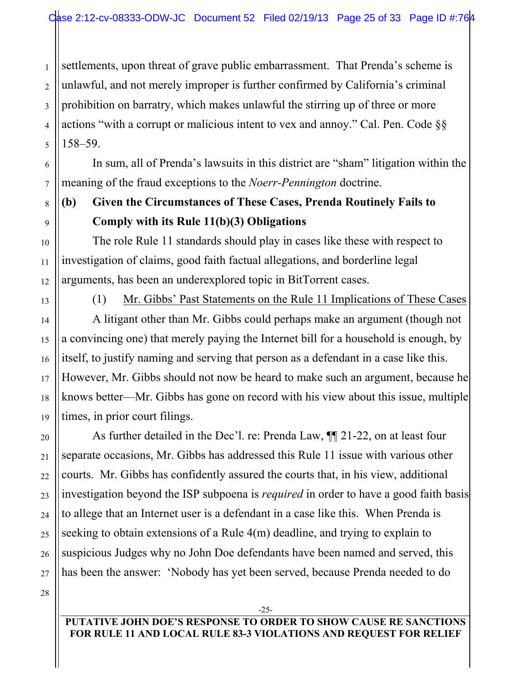1 2 3 4 5 settlements, upon threat of grave public embarrassment. That Prenda's scheme is unlawful, and not merely improper is further confirmed by California's criminal prohibition on barratry, which makes unlawful the stirring up of three or more actions "with a corrupt or malicious intent to vex and annoy." Cal. Pen. Code §§ 158–59.

In sum, all of Prenda's lawsuits in this district are "sham" litigation within the meaning of the fraud exceptions to the *Noerr-Pennington* doctrine.

# **(b) Given the Circumstances of These Cases, Prenda Routinely Fails to Comply with its Rule 11(b)(3) Obligations**

The role Rule 11 standards should play in cases like these with respect to investigation of claims, good faith factual allegations, and borderline legal arguments, has been an underexplored topic in BitTorrent cases.

6

7

8

9

10

11

12

13

14

15

16

17

18

19

20

21

22

23

24

25

26

27

(1) Mr. Gibbs' Past Statements on the Rule 11 Implications of These Cases A litigant other than Mr. Gibbs could perhaps make an argument (though not a convincing one) that merely paying the Internet bill for a household is enough, by itself, to justify naming and serving that person as a defendant in a case like this. However, Mr. Gibbs should not now be heard to make such an argument, because he knows better—Mr. Gibbs has gone on record with his view about this issue, multiple times, in prior court filings.

As further detailed in the Dec'l. re: Prenda Law,  $\P$  21-22, on at least four separate occasions, Mr. Gibbs has addressed this Rule 11 issue with various other courts. Mr. Gibbs has confidently assured the courts that, in his view, additional investigation beyond the ISP subpoena is *required* in order to have a good faith basis to allege that an Internet user is a defendant in a case like this. When Prenda is seeking to obtain extensions of a Rule 4(m) deadline, and trying to explain to suspicious Judges why no John Doe defendants have been named and served, this has been the answer: 'Nobody has yet been served, because Prenda needed to do

28

**PUTATIVE JOHN DOE'S RESPONSE TO ORDER TO SHOW CAUSE RE SANCTIONS FOR RULE 11 AND LOCAL RULE 83-3 VIOLATIONS AND REQUEST FOR RELIEF**

-25-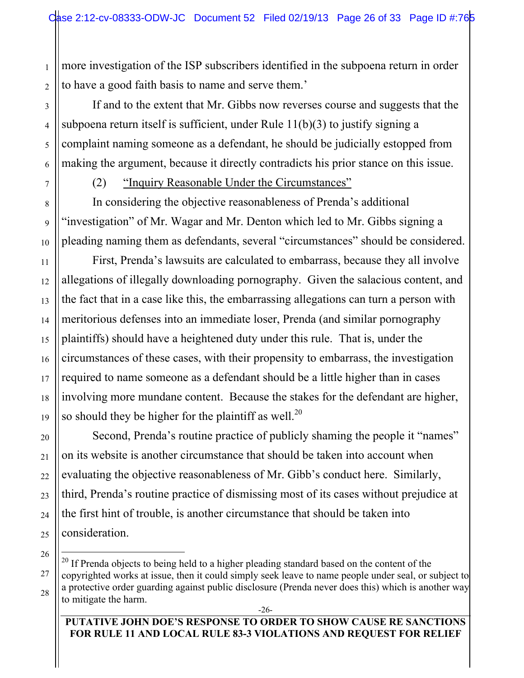more investigation of the ISP subscribers identified in the subpoena return in order to have a good faith basis to name and serve them.'

If and to the extent that Mr. Gibbs now reverses course and suggests that the subpoena return itself is sufficient, under Rule 11(b)(3) to justify signing a complaint naming someone as a defendant, he should be judicially estopped from making the argument, because it directly contradicts his prior stance on this issue.

(2) "Inquiry Reasonable Under the Circumstances"

In considering the objective reasonableness of Prenda's additional "investigation" of Mr. Wagar and Mr. Denton which led to Mr. Gibbs signing a pleading naming them as defendants, several "circumstances" should be considered.

First, Prenda's lawsuits are calculated to embarrass, because they all involve allegations of illegally downloading pornography. Given the salacious content, and the fact that in a case like this, the embarrassing allegations can turn a person with meritorious defenses into an immediate loser, Prenda (and similar pornography plaintiffs) should have a heightened duty under this rule. That is, under the circumstances of these cases, with their propensity to embarrass, the investigation required to name someone as a defendant should be a little higher than in cases involving more mundane content. Because the stakes for the defendant are higher, so should they be higher for the plaintiff as well.<sup>20</sup>

Second, Prenda's routine practice of publicly shaming the people it "names" on its website is another circumstance that should be taken into account when evaluating the objective reasonableness of Mr. Gibb's conduct here. Similarly, third, Prenda's routine practice of dismissing most of its cases without prejudice at the first hint of trouble, is another circumstance that should be taken into consideration.

 $20$  If Prenda objects to being held to a higher pleading standard based on the content of the copyrighted works at issue, then it could simply seek leave to name people under seal, or subject to a protective order guarding against public disclosure (Prenda never does this) which is another way to mitigate the harm.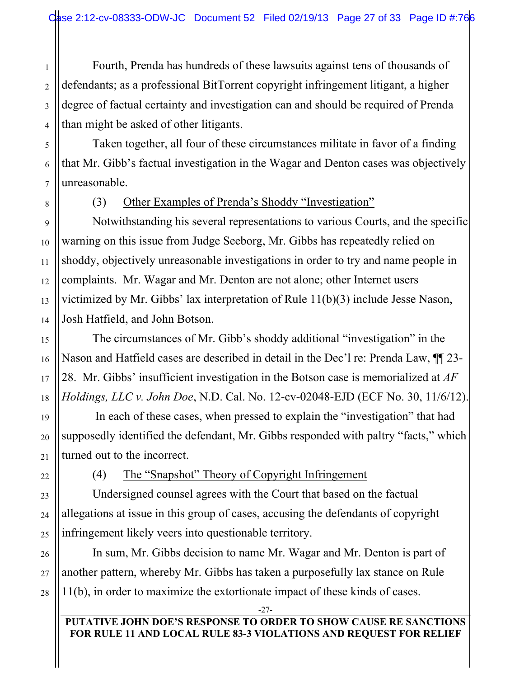Fourth, Prenda has hundreds of these lawsuits against tens of thousands of defendants; as a professional BitTorrent copyright infringement litigant, a higher degree of factual certainty and investigation can and should be required of Prenda than might be asked of other litigants.

Taken together, all four of these circumstances militate in favor of a finding that Mr. Gibb's factual investigation in the Wagar and Denton cases was objectively unreasonable.

(3) Other Examples of Prenda's Shoddy "Investigation"

Notwithstanding his several representations to various Courts, and the specific warning on this issue from Judge Seeborg, Mr. Gibbs has repeatedly relied on shoddy, objectively unreasonable investigations in order to try and name people in complaints. Mr. Wagar and Mr. Denton are not alone; other Internet users victimized by Mr. Gibbs' lax interpretation of Rule 11(b)(3) include Jesse Nason, Josh Hatfield, and John Botson.

The circumstances of Mr. Gibb's shoddy additional "investigation" in the Nason and Hatfield cases are described in detail in the Dec'l re: Prenda Law, ¶¶ 23- 28. Mr. Gibbs' insufficient investigation in the Botson case is memorialized at *AF Holdings, LLC v. John Doe*, N.D. Cal. No. 12-cv-02048-EJD (ECF No. 30, 11/6/12).

 In each of these cases, when pressed to explain the "investigation" that had supposedly identified the defendant, Mr. Gibbs responded with paltry "facts," which turned out to the incorrect.

(4) The "Snapshot" Theory of Copyright Infringement

Undersigned counsel agrees with the Court that based on the factual allegations at issue in this group of cases, accusing the defendants of copyright infringement likely veers into questionable territory.

In sum, Mr. Gibbs decision to name Mr. Wagar and Mr. Denton is part of another pattern, whereby Mr. Gibbs has taken a purposefully lax stance on Rule 11(b), in order to maximize the extortionate impact of these kinds of cases.

-27-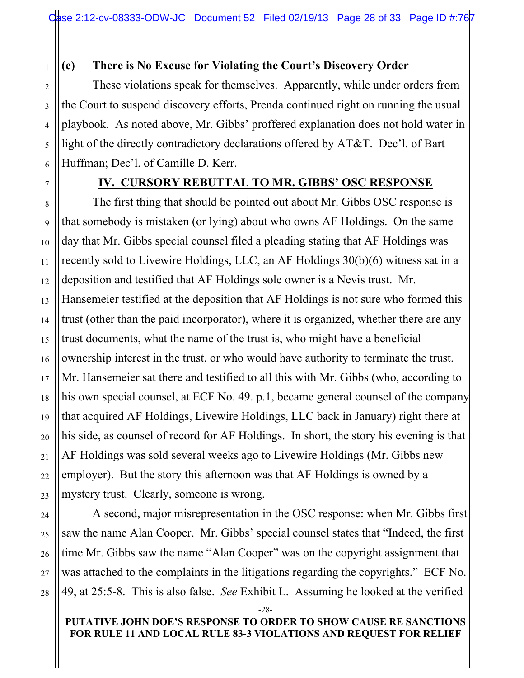## **(c) There is No Excuse for Violating the Court's Discovery Order**

These violations speak for themselves. Apparently, while under orders from the Court to suspend discovery efforts, Prenda continued right on running the usual playbook. As noted above, Mr. Gibbs' proffered explanation does not hold water in light of the directly contradictory declarations offered by AT&T. Dec'l. of Bart Huffman; Dec'l. of Camille D. Kerr.

## **IV. CURSORY REBUTTAL TO MR. GIBBS' OSC RESPONSE**

The first thing that should be pointed out about Mr. Gibbs OSC response is that somebody is mistaken (or lying) about who owns AF Holdings. On the same day that Mr. Gibbs special counsel filed a pleading stating that AF Holdings was recently sold to Livewire Holdings, LLC, an AF Holdings 30(b)(6) witness sat in a deposition and testified that AF Holdings sole owner is a Nevis trust. Mr. Hansemeier testified at the deposition that AF Holdings is not sure who formed this trust (other than the paid incorporator), where it is organized, whether there are any trust documents, what the name of the trust is, who might have a beneficial ownership interest in the trust, or who would have authority to terminate the trust. Mr. Hansemeier sat there and testified to all this with Mr. Gibbs (who, according to his own special counsel, at ECF No. 49. p.1, became general counsel of the company that acquired AF Holdings, Livewire Holdings, LLC back in January) right there at his side, as counsel of record for AF Holdings. In short, the story his evening is that AF Holdings was sold several weeks ago to Livewire Holdings (Mr. Gibbs new employer). But the story this afternoon was that AF Holdings is owned by a mystery trust. Clearly, someone is wrong.

A second, major misrepresentation in the OSC response: when Mr. Gibbs first saw the name Alan Cooper. Mr. Gibbs' special counsel states that "Indeed, the first time Mr. Gibbs saw the name "Alan Cooper" was on the copyright assignment that was attached to the complaints in the litigations regarding the copyrights." ECF No. 49, at 25:5-8. This is also false. *See* Exhibit L. Assuming he looked at the verified

-28-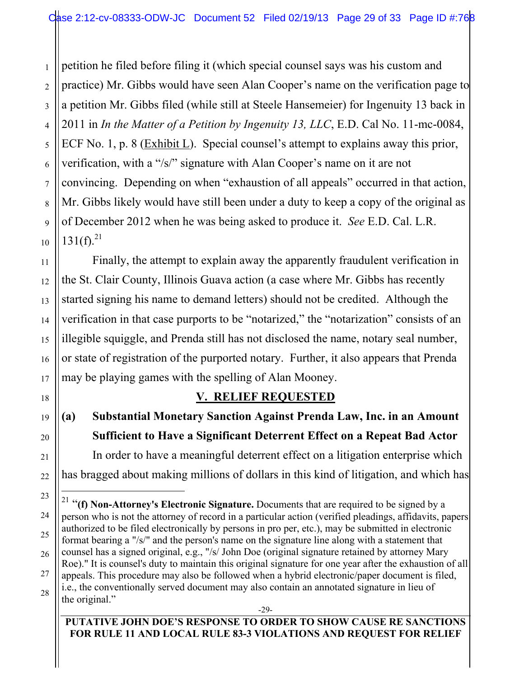2 petition he filed before filing it (which special counsel says was his custom and practice) Mr. Gibbs would have seen Alan Cooper's name on the verification page to a petition Mr. Gibbs filed (while still at Steele Hansemeier) for Ingenuity 13 back in 2011 in *In the Matter of a Petition by Ingenuity 13, LLC*, E.D. Cal No. 11-mc-0084, ECF No. 1, p. 8 (Exhibit L). Special counsel's attempt to explains away this prior, verification, with a "/s/" signature with Alan Cooper's name on it are not convincing. Depending on when "exhaustion of all appeals" occurred in that action, Mr. Gibbs likely would have still been under a duty to keep a copy of the original as of December 2012 when he was being asked to produce it. *See* E.D. Cal. L.R.  $131(f)^{21}$ 

Finally, the attempt to explain away the apparently fraudulent verification in the St. Clair County, Illinois Guava action (a case where Mr. Gibbs has recently started signing his name to demand letters) should not be credited. Although the verification in that case purports to be "notarized," the "notarization" consists of an illegible squiggle, and Prenda still has not disclosed the name, notary seal number, or state of registration of the purported notary. Further, it also appears that Prenda may be playing games with the spelling of Alan Mooney.

## **V. RELIEF REQUESTED**

**(a) Substantial Monetary Sanction Against Prenda Law, Inc. in an Amount Sufficient to Have a Significant Deterrent Effect on a Repeat Bad Actor** In order to have a meaningful deterrent effect on a litigation enterprise which has bragged about making millions of dollars in this kind of litigation, and which has

-29-

#### **PUTATIVE JOHN DOE'S RESPONSE TO ORDER TO SHOW CAUSE RE SANCTIONS FOR RULE 11 AND LOCAL RULE 83-3 VIOLATIONS AND REQUEST FOR RELIEF**

<sup>&</sup>lt;sup>21</sup> "(f) Non-Attorney's Electronic Signature. Documents that are required to be signed by a person who is not the attorney of record in a particular action (verified pleadings, affidavits, papers authorized to be filed electronically by persons in pro per, etc.), may be submitted in electronic format bearing a "/s/" and the person's name on the signature line along with a statement that counsel has a signed original, e.g., "/s/ John Doe (original signature retained by attorney Mary Roe)." It is counsel's duty to maintain this original signature for one year after the exhaustion of all appeals. This procedure may also be followed when a hybrid electronic/paper document is filed, i.e., the conventionally served document may also contain an annotated signature in lieu of the original."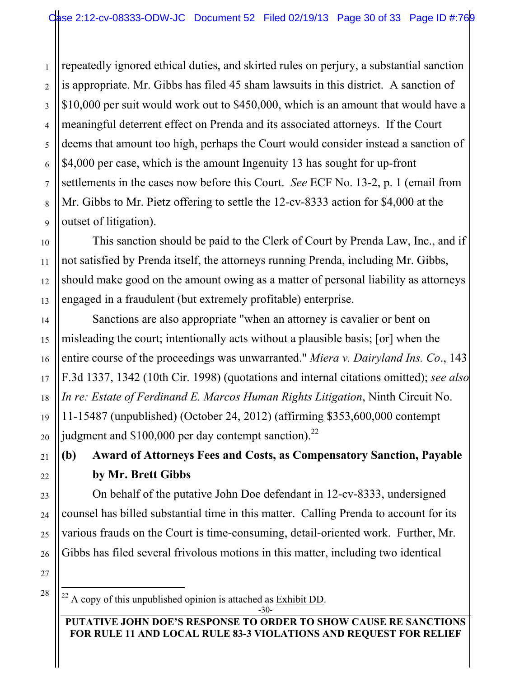repeatedly ignored ethical duties, and skirted rules on perjury, a substantial sanction is appropriate. Mr. Gibbs has filed 45 sham lawsuits in this district. A sanction of \$10,000 per suit would work out to \$450,000, which is an amount that would have a meaningful deterrent effect on Prenda and its associated attorneys. If the Court deems that amount too high, perhaps the Court would consider instead a sanction of \$4,000 per case, which is the amount Ingenuity 13 has sought for up-front settlements in the cases now before this Court. *See* ECF No. 13-2, p. 1 (email from Mr. Gibbs to Mr. Pietz offering to settle the 12-cv-8333 action for \$4,000 at the outset of litigation).

This sanction should be paid to the Clerk of Court by Prenda Law, Inc., and if not satisfied by Prenda itself, the attorneys running Prenda, including Mr. Gibbs, should make good on the amount owing as a matter of personal liability as attorneys engaged in a fraudulent (but extremely profitable) enterprise.

Sanctions are also appropriate "when an attorney is cavalier or bent on misleading the court; intentionally acts without a plausible basis; [or] when the entire course of the proceedings was unwarranted." *Miera v. Dairyland Ins. Co*., 143 F.3d 1337, 1342 (10th Cir. 1998) (quotations and internal citations omitted); *see also In re: Estate of Ferdinand E. Marcos Human Rights Litigation*, Ninth Circuit No. 11-15487 (unpublished) (October 24, 2012) (affirming \$353,600,000 contempt judgment and  $$100,000$  per day contempt sanction).<sup>22</sup>

**(b) Award of Attorneys Fees and Costs, as Compensatory Sanction, Payable by Mr. Brett Gibbs**

On behalf of the putative John Doe defendant in 12-cv-8333, undersigned counsel has billed substantial time in this matter. Calling Prenda to account for its various frauds on the Court is time-consuming, detail-oriented work. Further, Mr. Gibbs has filed several frivolous motions in this matter, including two identical

1

 $22$  A copy of this unpublished opinion is attached as Exhibit DD.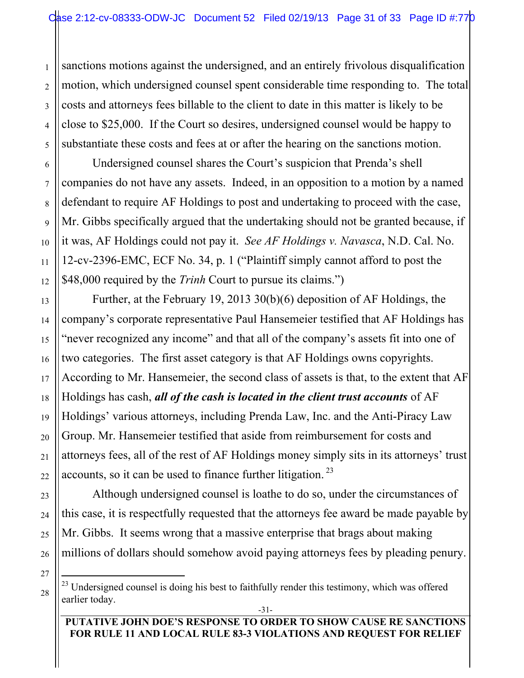sanctions motions against the undersigned, and an entirely frivolous disqualification motion, which undersigned counsel spent considerable time responding to. The total costs and attorneys fees billable to the client to date in this matter is likely to be close to \$25,000. If the Court so desires, undersigned counsel would be happy to substantiate these costs and fees at or after the hearing on the sanctions motion.

Undersigned counsel shares the Court's suspicion that Prenda's shell companies do not have any assets. Indeed, in an opposition to a motion by a named defendant to require AF Holdings to post and undertaking to proceed with the case, Mr. Gibbs specifically argued that the undertaking should not be granted because, if it was, AF Holdings could not pay it. *See AF Holdings v. Navasca*, N.D. Cal. No. 12-cv-2396-EMC, ECF No. 34, p. 1 ("Plaintiff simply cannot afford to post the \$48,000 required by the *Trinh* Court to pursue its claims.")

Further, at the February 19, 2013 30(b)(6) deposition of AF Holdings, the company's corporate representative Paul Hansemeier testified that AF Holdings has "never recognized any income" and that all of the company's assets fit into one of two categories. The first asset category is that AF Holdings owns copyrights. According to Mr. Hansemeier, the second class of assets is that, to the extent that AF Holdings has cash, *all of the cash is located in the client trust accounts* of AF Holdings' various attorneys, including Prenda Law, Inc. and the Anti-Piracy Law Group. Mr. Hansemeier testified that aside from reimbursement for costs and attorneys fees, all of the rest of AF Holdings money simply sits in its attorneys' trust accounts, so it can be used to finance further litigation.<sup>23</sup>

Although undersigned counsel is loathe to do so, under the circumstances of this case, it is respectfully requested that the attorneys fee award be made payable by Mr. Gibbs. It seems wrong that a massive enterprise that brags about making millions of dollars should somehow avoid paying attorneys fees by pleading penury.

28

1

2

3

4

5

6

7

8

9

10

11

12

13

14

15

16

17

18

19

20

21

22

23

24

25

26

27

<sup>-31-</sup>  $^{23}$  Undersigned counsel is doing his best to faithfully render this testimony, which was offered earlier today.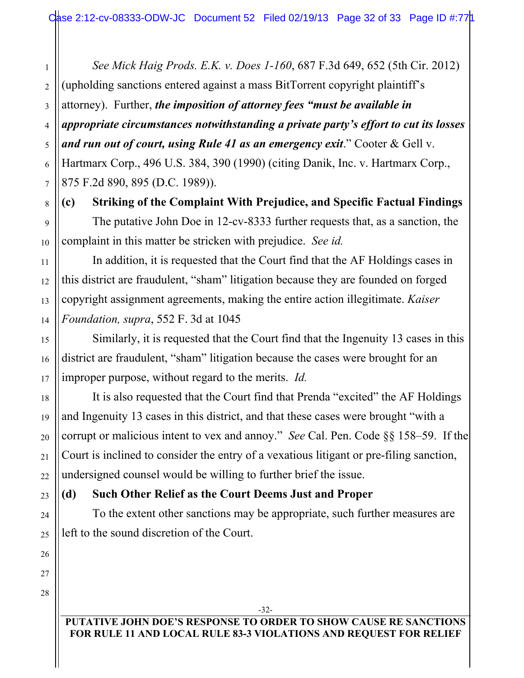1 2 3 4 5 *See Mick Haig Prods. E.K. v. Does 1-160*, 687 F.3d 649, 652 (5th Cir. 2012) (upholding sanctions entered against a mass BitTorrent copyright plaintiff's attorney). Further, *the imposition of attorney fees "must be available in appropriate circumstances notwithstanding a private party's effort to cut its losses and run out of court, using Rule 41 as an emergency exit*." Cooter & Gell v. Hartmarx Corp., 496 U.S. 384, 390 (1990) (citing Danik, Inc. v. Hartmarx Corp., 875 F.2d 890, 895 (D.C. 1989)).

**(c) Striking of the Complaint With Prejudice, and Specific Factual Findings** The putative John Doe in 12-cv-8333 further requests that, as a sanction, the complaint in this matter be stricken with prejudice. *See id.* 

In addition, it is requested that the Court find that the AF Holdings cases in this district are fraudulent, "sham" litigation because they are founded on forged copyright assignment agreements, making the entire action illegitimate. *Kaiser Foundation, supra*, 552 F. 3d at 1045

Similarly, it is requested that the Court find that the Ingenuity 13 cases in this district are fraudulent, "sham" litigation because the cases were brought for an improper purpose, without regard to the merits. *Id.* 

It is also requested that the Court find that Prenda "excited" the AF Holdings and Ingenuity 13 cases in this district, and that these cases were brought "with a corrupt or malicious intent to vex and annoy." *See* Cal. Pen. Code §§ 158–59. If the Court is inclined to consider the entry of a vexatious litigant or pre-filing sanction, undersigned counsel would be willing to further brief the issue.

#### **(d) Such Other Relief as the Court Deems Just and Proper**

To the extent other sanctions may be appropriate, such further measures are left to the sound discretion of the Court.

### **PUTATIVE JOHN DOE'S RESPONSE TO ORDER TO SHOW CAUSE RE SANCTIONS FOR RULE 11 AND LOCAL RULE 83-3 VIOLATIONS AND REQUEST FOR RELIEF**

-32-